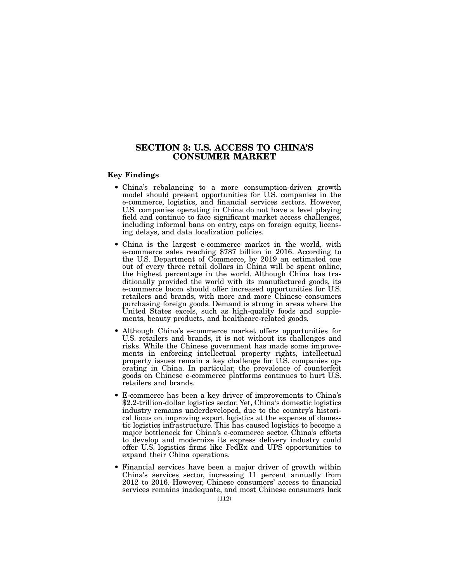# SECTION 3: U.S. ACCESS TO CHINA'S CONSUMER MARKET

# Key Findings

- China's rebalancing to a more consumption-driven growth model should present opportunities for U.S. companies in the e-commerce, logistics, and financial services sectors. However, U.S. companies operating in China do not have a level playing field and continue to face significant market access challenges, including informal bans on entry, caps on foreign equity, licensing delays, and data localization policies.
- China is the largest e-commerce market in the world, with e-commerce sales reaching \$787 billion in 2016. According to the U.S. Department of Commerce, by 2019 an estimated one out of every three retail dollars in China will be spent online, the highest percentage in the world. Although China has traditionally provided the world with its manufactured goods, its e-commerce boom should offer increased opportunities for U.S. retailers and brands, with more and more Chinese consumers purchasing foreign goods. Demand is strong in areas where the United States excels, such as high-quality foods and supplements, beauty products, and healthcare-related goods.
- Although China's e-commerce market offers opportunities for U.S. retailers and brands, it is not without its challenges and risks. While the Chinese government has made some improvements in enforcing intellectual property rights, intellectual property issues remain a key challenge for U.S. companies operating in China. In particular, the prevalence of counterfeit goods on Chinese e-commerce platforms continues to hurt U.S. retailers and brands.
- E-commerce has been a key driver of improvements to China's \$2.2-trillion-dollar logistics sector. Yet, China's domestic logistics industry remains underdeveloped, due to the country's historical focus on improving export logistics at the expense of domestic logistics infrastructure. This has caused logistics to become a major bottleneck for China's e-commerce sector. China's efforts to develop and modernize its express delivery industry could offer U.S. logistics firms like FedEx and UPS opportunities to expand their China operations.
- Financial services have been a major driver of growth within China's services sector, increasing 11 percent annually from 2012 to 2016. However, Chinese consumers' access to financial services remains inadequate, and most Chinese consumers lack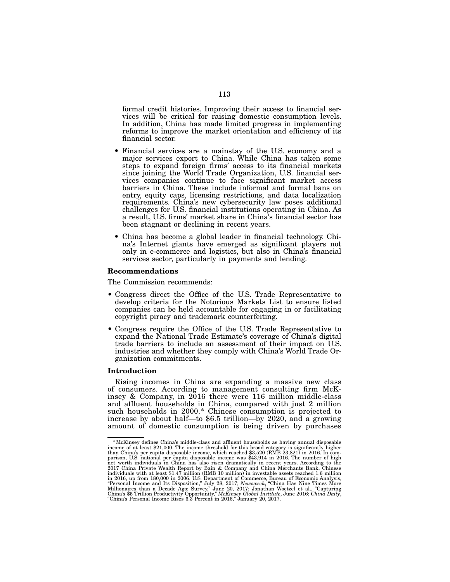formal credit histories. Improving their access to financial services will be critical for raising domestic consumption levels. In addition, China has made limited progress in implementing reforms to improve the market orientation and efficiency of its financial sector.

- Financial services are a mainstay of the U.S. economy and a major services export to China. While China has taken some steps to expand foreign firms' access to its financial markets since joining the World Trade Organization, U.S. financial services companies continue to face significant market access barriers in China. These include informal and formal bans on entry, equity caps, licensing restrictions, and data localization requirements. China's new cybersecurity law poses additional challenges for U.S. financial institutions operating in China. As a result, U.S. firms' market share in China's financial sector has been stagnant or declining in recent years.
- China has become a global leader in financial technology. China's Internet giants have emerged as significant players not only in e-commerce and logistics, but also in China's financial services sector, particularly in payments and lending.

## Recommendations

The Commission recommends:

- Congress direct the Office of the U.S. Trade Representative to develop criteria for the Notorious Markets List to ensure listed companies can be held accountable for engaging in or facilitating copyright piracy and trademark counterfeiting.
- Congress require the Office of the U.S. Trade Representative to expand the National Trade Estimate's coverage of China's digital trade barriers to include an assessment of their impact on U.S. industries and whether they comply with China's World Trade Or- ganization commitments.

## Introduction

Rising incomes in China are expanding a massive new class of consumers. According to management consulting firm McKinsey & Company, in 2016 there were 116 million middle-class and affluent households in China, compared with just 2 million such households in 2000.\* Chinese consumption is projected to increase by about half—to \$6.5 trillion—by 2020, and a growing amount of domestic consumption is being driven by purchases

<sup>\*</sup>McKinsey defines China's middle-class and affluent households as having annual disposable income of at least \$21,000. The income threshold for this broad category is significantly higher than China's per capita disposable income, which reached \$3,520 (RMB 23,821) in 2016. In com-<br>parison, U.S. national per capita disposable income was \$43,914 in 2016. The number of high<br>net worth individuals in China has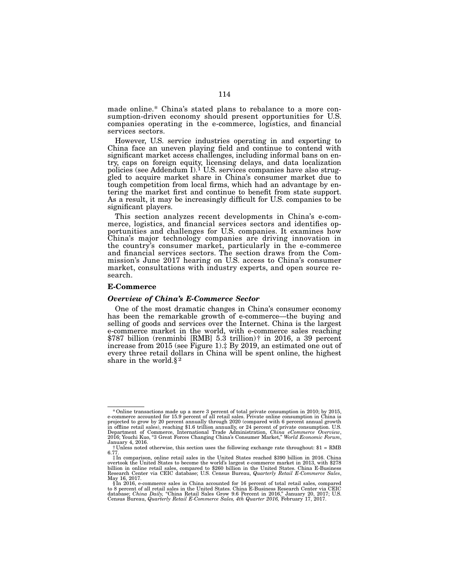made online.\* China's stated plans to rebalance to a more consumption-driven economy should present opportunities for U.S. companies operating in the e-commerce, logistics, and financial services sectors.

However, U.S. service industries operating in and exporting to China face an uneven playing field and continue to contend with significant market access challenges, including informal bans on en- try, caps on foreign equity, licensing delays, and data localization policies (see Addendum I).<sup>1</sup> U.S. services companies have also strug-<br>gled to acquire market share in China's consumer market due to tough competition from local firms, which had an advantage by en- tering the market first and continue to benefit from state support. As a result, it may be increasingly difficult for U.S. companies to be significant players.

This section analyzes recent developments in China's e-com-<br>merce, logistics, and financial services sectors and identifies op-<br>portunities and challenges for U.S. companies. It examines how China's major technology companies are driving innovation in the country's consumer market, particularly in the e-commerce mission's June 2017 hearing on U.S. access to China's consumer market, consultations with industry experts, and open source re- search.

### E-Commerce

#### *Overview of China's E-Commerce Sector*

One of the most dramatic changes in China's consumer economy has been the remarkable growth of e-commerce—the buying and selling of goods and services over the Internet. China is the largest e-commerce market in the world, with e-commerce sales reaching \$787 billion (renminbi [RMB] 5.3 trillion)† in 2016, a 39 percent increase from 2015 (see Figure 1).‡ By 2019, an estimated one out of every three retail dollars in China will be spent online, the highest share in the world.§ 2

<sup>\*</sup>Online transactions made up a mere 3 percent of total private consumption in 2010; by 2015, e-commerce accounted for 15.9 percent of all retail sales. Private online consumption in China is projected to grow by 20 percent annually through 2020 (compared with 6 percent annual growth<br>in offline retail sales), reaching \$1.6 trillion annually, or 24 percent of private consumption. U.S.<br>Department of Commerce, 2016; Youchi Kuo, "3 Great Forces Changing China's Consumer Market," *World Economic Forum*, January 4, 2016.

<sup>†</sup>Unless noted otherwise, this section uses the following exchange rate throughout: \$1 = RMB 6.77.

<sup>‡</sup>In comparison, online retail sales in the United States reached \$390 billion in 2016. China overtook the United States to become the world's largest e-commerce market in 2013, with \$278<br>billion in online retail sales, compared to \$260 billion in the United States. China E-Business<br>Research Center via CEIC databas May 16, 2017.

<sup>§</sup>In 2016, e-commerce sales in China accounted for 16 percent of total retail sales, compared to 8 percent of all retail sales in the United States. China E-Buchas Research Center via CEIC<br>to 8 percent of all retail sales i Census Bureau, *Quarterly Retail E-Commerce Sales, 4th Quarter 2016,* February 17, 2017.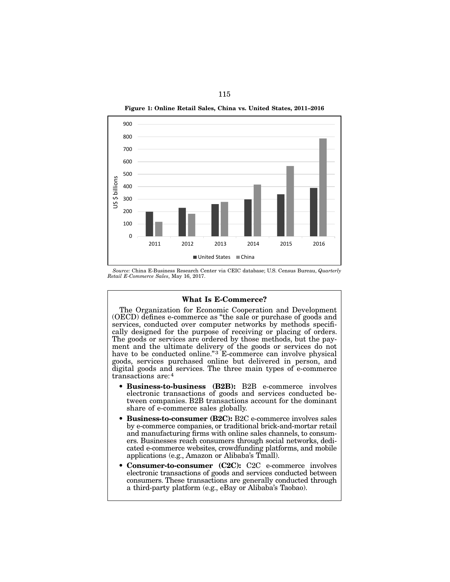



*S ource:* China E-Business Research Center via CEIC database; U.S. Census Bureau, *Quarterly Retail E-Commerce Sales*, May 16, 2017.

# What Is E-Commerce?

The Organization for Economic Cooperation and Development (OECD) defines e-commerce as "the sale or purchase of goods and services, conducted over computer networks by methods specifically designed for the purpose of receiving or placing of orders. The goods or services are ordered by those methods, but the payment and the ultimate delivery of the goods or services do not have to be conducted online."<sup>3</sup> E-commerce can involve physical goods, services purchased online but delivered in person, and digital goods and services. The three main types of e-commerce transactions are:4

- Business-to-business (B2B): B2B e-commerce involves electronic transactions of goods and services conducted between companies. B2B transactions account for the dominant share of e-commerce sales globally.
- Business-to-consumer (B2C): B2C e-commerce involves sales by e-commerce companies, or traditional brick-and-mortar retail and manufacturing firms with online sales channels, to consumers. Businesses reach consumers through social networks, dedicated e-commerce websites, crowdfunding platforms, and mobile applications (e.g., Amazon or Alibaba's Tmall).
- Consumer-to-consumer (C2C): C2C e-commerce involves electronic transactions of goods and services conducted between consumers. These transactions are generally conducted through a third-party platform (e.g., eBay or Alibaba's Taobao).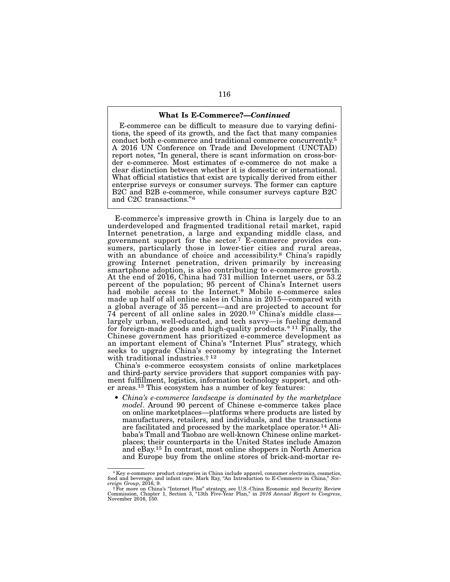#### What Is E-Commerce?—*Continued*

E-commerce can be difficult to measure due to varying definitions, the speed of its growth, and the fact that many companies conduct both e-commerce and traditional commerce concurrently.5 A 2016 UN Conference on Trade and Development (UNCTAD) report notes, "In general, there is scant information on cross-border e-commerce. Most estimates of e-commerce do not make a clear distinction between whether it is domestic or international. What official statistics that exist are typically derived from either enterprise surveys or consumer surveys. The former can capture B2C and B2B e-commerce, while consumer surveys capture B2C and C2C transactions."6

E-commerce's impressive growth in China is largely due to an underdeveloped and fragmented traditional retail market, rapid Internet penetration, a large and expanding middle class, and government support for the sector.7 E-commerce provides consumers, particularly those in lower-tier cities and rural areas, with an abundance of choice and accessibility.<sup>8</sup> China's rapidly growing Internet penetration, driven primarily by increasing smartphone adoption, is also contributing to e-commerce growth. At the end of 2016, China had 731 million Internet users, or 53.2 percent of the population; 95 percent of China's Internet users had mobile access to the Internet.<sup>9</sup> Mobile e-commerce sales made up half of all online sales in China in 2015—compared with a global average of 35 percent—and are projected to account for 74 percent of all online sales in 2020.10 China's middle class largely urban, well-educated, and tech savvy—is fueling demand for foreign-made goods and high-quality products.\* 11 Finally, the Chinese government has prioritized e-commerce development as an important element of China's "Internet Plus" strategy, which seeks to upgrade China's economy by integrating the Internet with traditional industries.† 12

China's e-commerce ecosystem consists of online marketplaces and third-party service providers that support companies with payment fulfillment, logistics, information technology support, and other areas.13 This ecosystem has a number of key features:

• *China's e-commerce landscape is dominated by the marketplace model*. Around 90 percent of Chinese e-commerce takes place on online marketplaces—platforms where products are listed by manufacturers, retailers, and individuals, and the transactions are facilitated and processed by the marketplace operator.14 Alibaba's Tmall and Taobao are well-known Chinese online marketplaces; their counterparts in the United States include Amazon and eBay.15 In contrast, most online shoppers in North America and Europe buy from the online stores of brick-and-mortar re-

<sup>\*</sup>Key e-commerce product categories in China include apparel, consumer electronics, cosmetics, food and beverage, and infant care. Mark Ray, "An Introduction to E-Commerce in China," *Sov-ereign Group*, 2016, 9.

<sup>†</sup>For more on China's "Internet Plus" strategy, see U.S.-China Economic and Security Review Commission, Chapter 1, Section 3, "13th Five-Year Plan," in *2016 Annual Report to Congress*, November 2016, 150.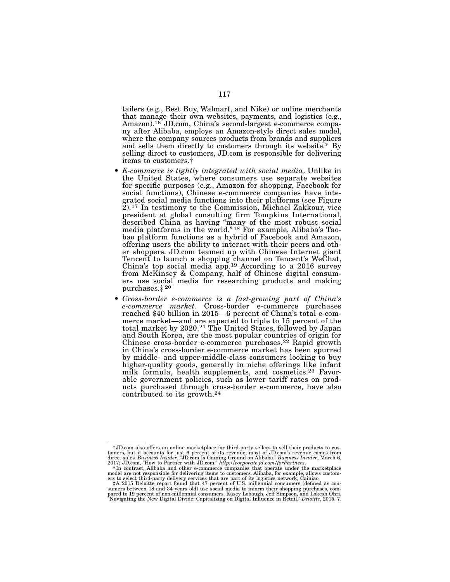tailers (e.g., Best Buy, Walmart, and Nike) or online merchants that manage their own websites, payments, and logistics (e.g., Amazon).16 JD.com, China's second-largest e-commerce compa- ny after Alibaba, employs an Amazon-style direct sales model, where the company sources products from brands and suppliers and sells them directly to customers through its website.\* By selling direct to customers, JD.com is responsible for delivering items to customers.†

- *E-commerce is tightly integrated with social media*. Unlike in the United States, where consumers use separate websites for specific purposes (e.g., Amazon for shopping, Facebook for social functions), Chinese e-commerce companies have intesocial functions), Chinese e-commerce companies have inte- grated social media functions into their platforms (see Figure 2).17 In testimony to the Commission, Michael Zakkour, vice president at global consulting firm Tompkins International, described China as having "many of the most robust social media platforms in the world." <sup>18</sup> For example, Alibaba's Tao-<br>bao platform functions as a hybrid of Facebook and Amazon, offering users the ability to interact with their peers and oth- er shoppers. JD.com teamed up with Chinese Internet giant Tencent to launch a shopping channel on Tencent's WeChat, China's top social media app.<sup>19</sup> According to a 2016 survey from McKinsey & Company, half of Chinese digital consum- ers use social media for researching products and making purchases.‡ 20
- *Cross-border e-commerce is a fast-growing part of China's e-commerce market.* Cross-border e-commerce purchases reached \$40 billion in 2015—6 percent of China's total e-commerce market—and are expected to triple to 15 percent of the total market by 2020.21 The United States, followed by Japan and South Korea, are the most popular countries of origin for Chinese cross-border e-commerce purchases.22 Rapid growth in China's cross-border e-commerce market has been spurred by middle- and upper-middle-class consumers looking to buy higher-quality goods, generally in niche offerings like infant milk formula, health supplements, and cosmetics.<sup>23</sup> Favorable government policies, such as lower tariff rates on products purchased through cross-border e-commerce, have also contributed to its growth.24

<sup>\*</sup>JD.com also offers an online marketplace for third-party sellers to sell their products to customers, but it accounts for just 6 percent of its revenue; most of JD.com's revenue comes from direct sales. *Business Insider*, "JD.com Is Gaining Ground on Alibaba," *Business Insider*, March 6,

<sup>2017;</sup> JD.com, "How to Partner with JD.com." *http://corporate.jd.com/forPartners.*<br>
†In contrast, Alibaba and other e-commerce companies that operate under the marketplace<br>
model are not responsible for delivering items t

pared to 19 percent of non-millennial consumers. Kasey Lobaugh, Jeff Simpson, and Lokesh Ohri, "Navigating the New Digital Divide: Capitalizing on Digital Influence in Retail," *Deloitte*, 2015, 7.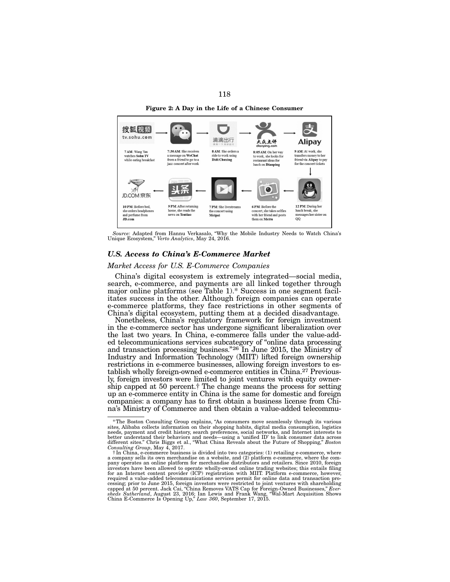Figure 2: A Day in the Life of a Chinese Consumer



*Source:* Adapted from Hannu Verkasalo, "Why the Mobile Industry Needs to Watch China's Unique Ecosystem," *Verto Analytics*, May 24, 2016.

# *U.S. Access to China's E-Commerce Market*

# *Market Access for U.S. E-Commerce Companies*

China's digital ecosystem is extremely integrated—social media, search, e-commerce, and payments are all linked together through major online platforms (see Table 1).\* Success in one segment facilitates success in the other. Although foreign companies can operate e-commerce platforms, they face restrictions in other segments of China's digital ecosystem, putting them at a decided disadvantage.

Nonetheless, China's regulatory framework for foreign investment in the e-commerce sector has undergone significant liberalization over the last two years. In China, e-commerce falls under the value-added telecommunications services subcategory of "online data processing and transaction processing business."26 In June 2015, the Ministry of Industry and Information Technology (MIIT) lifted foreign ownership restrictions in e-commerce businesses, allowing foreign investors to establish wholly foreign-owned e-commerce entities in China.27 Previously, foreign investors were limited to joint ventures with equity ownership capped at 50 percent.† The change means the process for setting up an e-commerce entity in China is the same for domestic and foreign companies: a company has to first obtain a business license from Chi- na's Ministry of Commerce and then obtain a value-added telecommu-

<sup>\*</sup>The Boston Consulting Group explains, "As consumers move seamlessly through its various sites, Alibaba collects information on their shopping habits, digital media consumption, logistics needs, payment and credit history, search preferences, social networks, and Internet interests to better understand their behaviors and needs—using a 'unified ID' to link consumer data across different sites." Chris Biggs et al., "What China Reveals about the Future of Shopping," *Boston Consulting Group*, May 4, 2017.

t In China, e-commerce business is divided into two categories: (1) retailing e-commerce, where a company sells its own merchandise on a website, and (2) platform e-commerce, where the com-<br>a company sells its own merchand investors have been allowed to operate wholly-owned online trading websites; this entails filing for an Internet content provider (ICP) registration with MIIT. Platform e-commerce, however, required a value-added telecommunications services permit for online data and transaction processing; prior to June 2015, foreign investors were restricted to joint ventures with shareholding capped at 50 percent. Jack Cai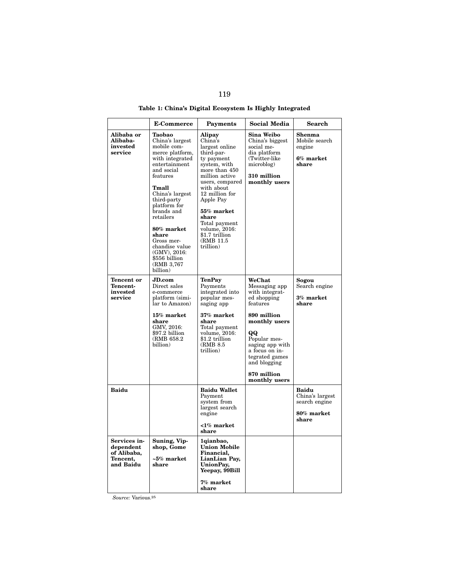|                                                                   | <b>E-Commerce</b>                                                                                                                                                                                                                                                                                                                 | Payments                                                                                                                                                                                                                                                                                        | <b>Social Media</b>                                                                                                                                                                                                               | <b>Search</b>                                                    |
|-------------------------------------------------------------------|-----------------------------------------------------------------------------------------------------------------------------------------------------------------------------------------------------------------------------------------------------------------------------------------------------------------------------------|-------------------------------------------------------------------------------------------------------------------------------------------------------------------------------------------------------------------------------------------------------------------------------------------------|-----------------------------------------------------------------------------------------------------------------------------------------------------------------------------------------------------------------------------------|------------------------------------------------------------------|
| Alibaba or<br>Alibaba-<br>invested<br>service                     | Taobao<br>China's largest<br>mobile com-<br>merce platform,<br>with integrated<br>entertainment<br>and social<br>features<br>Tmall<br>China's largest<br>third-party<br>platform for<br>brands and<br>retailers<br>80% market<br>share<br>Gross mer-<br>chandise value<br>(GMV), 2016:<br>\$556 billion<br>(RMB 3,767<br>billion) | <b>Alipay</b><br>China's<br>largest online<br>third-par-<br>ty payment<br>system, with<br>more than 450<br>million active<br>users, compared<br>with about<br>12 million for<br>Apple Pay<br>55% market<br>share<br>Total payment<br>volume, 2016:<br>\$1.7 trillion<br>(RMB 11.5)<br>trillion) | Sina Weibo<br>China's biggest<br>social me-<br>dia platform<br>(Twitter-like<br>microblog)<br>310 million<br>monthly users                                                                                                        | <b>Shenma</b><br>Mobile search<br>engine<br>6% market<br>share   |
| <b>Tencent or</b><br>Tencent-<br>invested<br>service              | JD.com<br>Direct sales<br>e-commerce<br>platform (simi-<br>lar to Amazon)<br>15% market<br>share<br>GMV, 2016:<br>\$97.2 billion<br>(RMB 658.2)<br>billion)                                                                                                                                                                       | <b>TenPay</b><br>Payments<br>integrated into<br>popular mes-<br>saging app<br>37% market<br>share<br>Total payment<br>volume, 2016:<br>\$1.2 trillion<br>(RMB 8.5)<br>trillion)                                                                                                                 | WeChat<br>Messaging app<br>with integrat-<br>ed shopping<br>features<br>890 million<br>monthly users<br>QQ<br>Popular mes-<br>saging app with<br>a focus on in-<br>tegrated games<br>and blogging<br>870 million<br>monthly users | Sogou<br>Search engine<br>3% market<br>share                     |
| <b>Baidu</b>                                                      |                                                                                                                                                                                                                                                                                                                                   | <b>Baidu Wallet</b><br>Payment<br>system from<br>largest search<br>engine<br>$1\%$ market<br>share                                                                                                                                                                                              |                                                                                                                                                                                                                                   | Baidu<br>China's largest<br>search engine<br>80% market<br>share |
| Services in-<br>dependent<br>of Alibaba,<br>Tencent,<br>and Baidu | Suning, Vip-<br>shop, Gome<br>$~5\%$ market<br>share                                                                                                                                                                                                                                                                              | 1qianbao,<br><b>Union Mobile</b><br>Financial,<br>LianLian Pay,<br>UnionPay,<br>Yeepay, 99Bill<br>7% market<br>share                                                                                                                                                                            |                                                                                                                                                                                                                                   |                                                                  |

Table 1: China's Digital Ecosystem Is Highly Integrated

*Source:* Various.25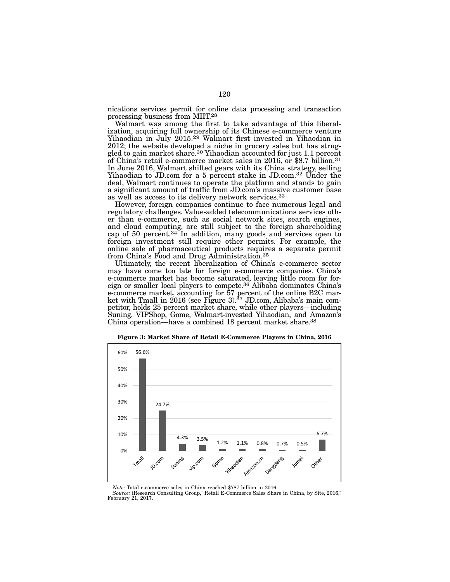nications services permit for online data processing and transaction processing business from MIIT.28

Walmart was among the first to take advantage of this liberal- ization, acquiring full ownership of its Chinese e-commerce venture Yihaodian in July 2015.29 Walmart first invested in Yihaodian in 2012; the website developed a niche in grocery sales but has strug-<br>gled to gain market share.<sup>30</sup> Yihaodian accounted for just 1.1 percent<br>of China's retail e-commerce market sales in 2016, or \$8.7 billion.<sup>31</sup> In June 2016, Walmart shifted gears with its China strategy, selling Yihaodian to JD.com for a 5 percent stake in JD.com.32 Under the deal, Walmart continues to operate the platform and stands to gain a significant amount of traffic from JD.com's massive customer base as well as access to its delivery network services.33

However, foreign companies continue to face numerous legal and regulatory challenges. Value-added telecommunications services oth- er than e-commerce, such as social network sites, search engines, and cloud computing, are still subject to the foreign shareholding cap of 50 percent.34 In addition, many goods and services open to foreign investment still require other permits. For example, the online sale of pharmaceutical products requires a separate permit from China's Food and Drug Administration.35

Ultimately, the recent liberalization of China's e-commerce sector may have come too late for foreign e-commerce companies. China's e-commerce market has become saturated, leaving little room for for- eign or smaller local players to compete.36 Alibaba dominates China's e-commerce market, accounting for 57 percent of the online B2C market with Tmall in  $2016$  (see Figure 3).<sup>37</sup> JD.com, Alibaba's main competitor, holds 25 percent market share, while other players—including Suning, VIPShop, Gome, Walmart-invested Yihaodian, and Amazon's China operation—have a combined 18 percent market share.38



Figure 3: Market Share of Retail E-Commerce Players in China, 2016

*Note:* Total e-commerce sales in China reached \$787 billion in 2016.

*Source:* iResearch Consulting Group, "Retail E-Commerce Sales Share in China, by Site, 2016," February 21, 2017.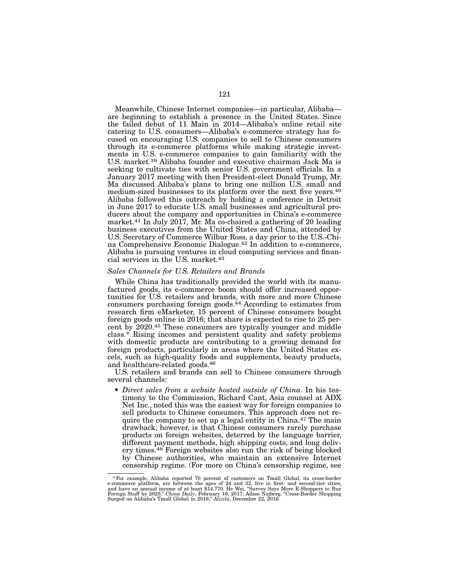Meanwhile, Chinese Internet companies—in particular, Alibaba are beginning to establish a presence in the United States. Since the failed debut of 11 Main in 2014—Alibaba's online retail site catering to U.S. consumers—Alibaba's e-commerce strategy has focused on encouraging U.S. companies to sell to Chinese consumers through its e-commerce platforms while making strategic investments in U.S. e-commerce companies to gain familiarity with the U.S. market.<sup>39</sup> Alibaba founder and executive chairman Jack Ma is seeking to cultivate ties with senior U.S. government officials. In a January 2017 meeting with then President-elect Donald Trump, Mr. Ma discussed Alibaba's plans to bring one million U.S. small and medium-sized businesses to its platform over the next five years.40 Alibaba followed this outreach by holding a conference in Detroit in June 2017 to educate U.S. small businesses and agricultural producers about the company and opportunities in China's e-commerce market.<sup>41</sup> In July 2017, Mr. Ma co-chaired a gathering of 20 leading business executives from the United States and China, attended by U.S. Secretary of Commerce Wilbur Ross, a day prior to the U.S.-China Comprehensive Economic Dialogue.<sup>42</sup> In addition to e-commerce, Alibaba is pursuing ventures in cloud computing services and financial services in the U.S. market.43

#### *Sales Channels for U.S. Retailers and Brands*

While China has traditionally provided the world with its manufactured goods, its e-commerce boom should offer increased opportunities for U.S. retailers and brands, with more and more Chinese consumers purchasing foreign goods.44 According to estimates from research firm eMarketer, 15 percent of Chinese consumers bought foreign goods online in 2016; that share is expected to rise to 25 percent by 2020.45 These consumers are typically younger and middle class.\* Rising incomes and persistent quality and safety problems with domestic products are contributing to a growing demand for foreign products, particularly in areas where the United States excels, such as high-quality foods and supplements, beauty products, and healthcare-related goods.46

U.S. retailers and brands can sell to Chinese consumers through several channels:

• *Direct sales from a website hosted outside of China*. In his testimony to the Commission, Richard Cant, Asia counsel at ADX Net Inc., noted this was the easiest way for foreign companies to sell products to Chinese consumers. This approach does not require the company to set up a legal entity in China.<sup>47</sup> The main drawback, however, is that Chinese consumers rarely purchase products on foreign websites, deterred by the language barrier, different payment methods, high shipping costs, and long delivery times.48 Foreign websites also run the risk of being blocked by Chinese authorities, who maintain an extensive Internet censorship regime. (For more on China's censorship regime, see

<sup>\*</sup> For example, Alibaba reported 70 percent of customers on Tmall Global, its cross-border e-commerce platform, are between the ages of 24 and 32, live in first- and second-tier cities, and have an annual income of at leas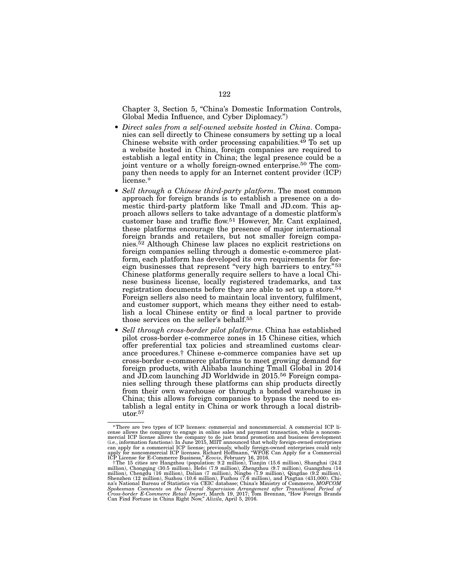Chapter 3, Section 5, "China's Domestic Information Controls, Global Media Influence, and Cyber Diplomacy.")

- *Direct sales from a self-owned website hosted in China*. Companies can sell directly to Chinese consumers by setting up a local Chinese website with order processing capabilities.<sup>49</sup> To set up a website hosted in China, foreign companies are required to establish a legal entity in China; the legal presence could be a joint venture or a wholly foreign-owned enterprise.<sup>50</sup> The company then needs to apply for an Internet content provider (ICP) license.\*
- *Sell through a Chinese third-party platform*. The most common approach for foreign brands is to establish a presence on a domestic third-party platform like Tmall and JD.com. This approach allows sellers to take advantage of a domestic platform's customer base and traffic flow.51 However, Mr. Cant explained, these platforms encourage the presence of major international foreign brands and retailers, but not smaller foreign companies.52 Although Chinese law places no explicit restrictions on foreign companies selling through a domestic e-commerce platform, each platform has developed its own requirements for foreign businesses that represent "very high barriers to entry."53 Chinese platforms generally require sellers to have a local Chinese business license, locally registered trademarks, and tax registration documents before they are able to set up a store.54 Foreign sellers also need to maintain local inventory, fulfilment, and customer support, which means they either need to establish a local Chinese entity or find a local partner to provide those services on the seller's behalf.55
- *Sell through cross-border pilot platforms*. China has established pilot cross-border e-commerce zones in 15 Chinese cities, which offer preferential tax policies and streamlined customs clearance procedures.† Chinese e-commerce companies have set up cross-border e-commerce platforms to meet growing demand for foreign products, with Alibaba launching Tmall Global in 2014 and JD.com launching JD Worldwide in 2015.56 Foreign companies selling through these platforms can ship products directly from their own warehouse or through a bonded warehouse in China; this allows foreign companies to bypass the need to establish a legal entity in China or work through a local distributor.57

<sup>\*</sup>There are two types of ICP licenses: commercial and noncommercial. A commercial ICP license allows the company to engage in online sales and payment transaction, while a noncommercial ICP license allows the company to do just brand promotion and business development (i.e., information functions). In June 2015, MIIT announced that wholly foreign-owned enterprises

can apply for a commercial ICP license; previously, wholly foreign-owned enterprises could only<br>apply for noncommercial ICP licenses. Richard Hoffmann, "WFOE Can Apply for a Commercial<br>ICP License for E-Commerce Business," Spokesman Comments on the General Supervision Arrangement after Transitional Period of<br>Cross-border E-Commerce Retail Import, March 19, 2017; Tom Brennan, "How Foreign Brands<br>Can Find Fortune in China Right Now," Alizila,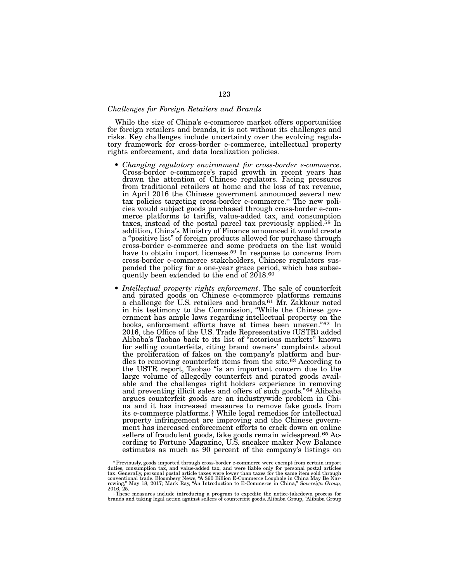# *Challenges for Foreign Retailers and Brands*

While the size of China's e-commerce market offers opportunities for foreign retailers and brands, it is not without its challenges and risks. Key challenges include uncertainty over the evolving regulatory framework for cross-border e-commerce, intellectual property rights enforcement, and data localization policies.

- *Changing regulatory environment for cross-border e-commerce*. Cross-border e-commerce's rapid growth in recent years has drawn the attention of Chinese regulators. Facing pressures from traditional retailers at home and the loss of tax revenue, in April 2016 the Chinese government announced several new tax policies targeting cross-border e-commerce.\* The new policies would subject goods purchased through cross-border e-commerce platforms to tariffs, value-added tax, and consumption taxes, instead of the postal parcel tax previously applied.58 In addition, China's Ministry of Finance announced it would create a "positive list" of foreign products allowed for purchase through cross-border e-commerce and some products on the list would have to obtain import licenses.<sup>59</sup> In response to concerns from cross-border e-commerce stakeholders, Chinese regulators suspended the policy for a one-year grace period, which has subsequently been extended to the end of 2018.<sup>60</sup>
- *Intellectual property rights enforcement*. The sale of counterfeit and pirated goods on Chinese e-commerce platforms remains a challenge for U.S. retailers and brands.<sup>61</sup> Mr. Zakkour noted in his testimony to the Commission, "While the Chinese government has ample laws regarding intellectual property on the books, enforcement efforts have at times been uneven."62 In 2016, the Office of the U.S. Trade Representative (USTR) added Alibaba's Taobao back to its list of "notorious markets" known for selling counterfeits, citing brand owners' complaints about the proliferation of fakes on the company's platform and hurdles to removing counterfeit items from the site.63 According to the USTR report, Taobao "is an important concern due to the large volume of allegedly counterfeit and pirated goods available and the challenges right holders experience in removing and preventing illicit sales and offers of such goods."64 Alibaba argues counterfeit goods are an industrywide problem in China and it has increased measures to remove fake goods from its e-commerce platforms.† While legal remedies for intellectual property infringement are improving and the Chinese government has increased enforcement efforts to crack down on online sellers of fraudulent goods, fake goods remain widespread.<sup>65</sup> According to Fortune Magazine, U.S. sneaker maker New Balance estimates as much as 90 percent of the company's listings on

<sup>\*</sup>Previously, goods imported through cross-border e-commerce were exempt from certain import duties, consumption tax, and value-added tax, and were liable only for personal postal articles<br>tax. Generally, personal postal article taxes were lower than taxes for the same item sold through<br>conventional trade. Bloombe rowing," May 18, 2017; Mark Ray, "An Introduction to E-Commerce in China," *Sovereign Group*, 2016, 25.

<sup>†</sup>These measures include introducing a program to expedite the notice-takedown process for brands and taking legal action against sellers of counterfeit goods. Alibaba Group, "Alibaba Group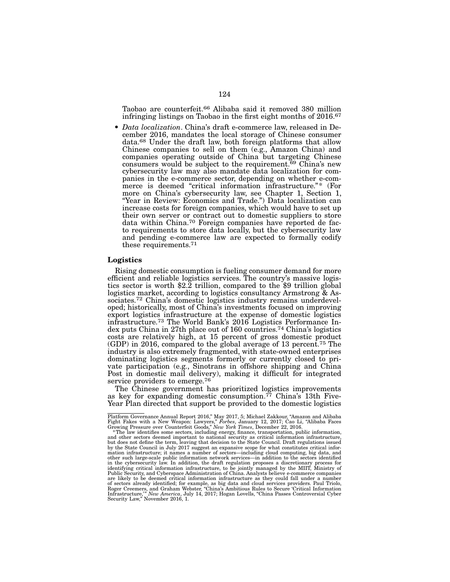Taobao are counterfeit.66 Alibaba said it removed 380 million infringing listings on Taobao in the first eight months of 2016.67

• *Data localization*. China's draft e-commerce law, released in December 2016, mandates the local storage of Chinese consumer data.68 Under the draft law, both foreign platforms that allow Chinese companies to sell on them (e.g., Amazon China) and companies operating outside of China but targeting Chinese consumers would be subject to the requirement.<sup>69</sup> China's new cybersecurity law may also mandate data localization for companies in the e-commerce sector, depending on whether e-commerce is deemed "critical information infrastructure."\* (For more on China's cybersecurity law, see Chapter 1, Section 1, "Year in Review: Economics and Trade.") Data localization can increase costs for foreign companies, which would have to set up their own server or contract out to domestic suppliers to store data within China.70 Foreign companies have reported de facto requirements to store data locally, but the cybersecurity law and pending e-commerce law are expected to formally codify these requirements.71

## Logistics

Rising domestic consumption is fueling consumer demand for more efficient and reliable logistics services. The country's massive logis- tics sector is worth \$2.2 trillion, compared to the \$9 trillion global logistics market, according to logistics consultancy Armstrong & Associates.<sup>72</sup> China's domestic logistics industry remains underdeveloped; historically, most of China's investments focused on improving export logistics infrastructure at the expense of domestic logistics infrastructure.73 The World Bank's 2016 Logistics Performance Index puts China in 27th place out of 160 countries.74 China's logistics costs are relatively high, at 15 percent of gross domestic product (GDP) in 2016, compared to the global average of 13 percent.75 The industry is also extremely fragmented, with state-owned enterprises dominating logistics segments formerly or currently closed to private participation (e.g., Sinotrans in offshore shipping and China Post in domestic mail delivery), making it difficult for integrated service providers to emerge.76

The Chinese government has prioritized logistics improvements as key for expanding domestic consumption.<sup>77</sup> China's 13th Five-Year Plan directed that support be provided to the domestic logistics

Platform Governance Annual Report 2016," May 2017, 5; Michael Zakkour, "Amazon and Alibaba Fight Fakes with a New Weapon: Lawyers," *Forbes*, January 12, 2017; Cao Li, "Alibaba Faces<br>Growing Pressure over Counterfeit Goods," *New York Times*, December 22, 2016.<br>\*The law identifies some sectors, including energy,

and other sectors deemed important to national security as critical information infrastructure,<br>but does not define the term, leaving that decision to the State Council. Draft regulations issued<br>by the State Council in Jul mation infrastructure; it names a number of sectors—including cloud computing, big data, and other such large-scale public information network services—in addition to the sectors identified in the cybersecurity law. In addition, the draft regulation proposes a discretionary process for<br>identifying critical information infrastructure, to be jointly managed by the MIIT, Ministry of<br>Public Security, and Cyberspa are likely to be deemed critical information infrastructure as they could fall under a number<br>of sectors already identified; for example, as big data and cloud services providers. Paul Triolo,<br>Roger Creemers, and Graham We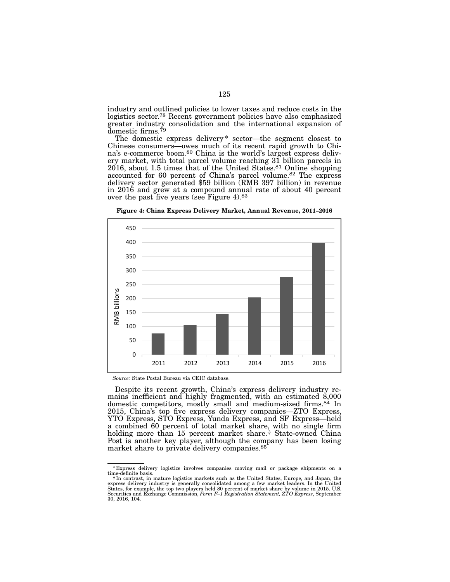industry and outlined policies to lower taxes and reduce costs in the logistics sector.78 Recent government policies have also emphasized greater industry consolidation and the international expansion of domestic firms.<sup>79</sup>

The domestic express delivery<sup>\*</sup> sector—the segment closest to Chinese consumers—owes much of its recent rapid growth to China's e-commerce boom.<sup>80</sup> China is the world's largest express deliv-<br>ery market, with total parcel volume reaching 31 billion parcels in 2016, about 1.5 times that of the United States.81 Online shopping accounted for 60 percent of China's parcel volume.82 The express delivery sector generated \$59 billion (RMB 397 billion) in revenue in 2016 and grew at a compound annual rate of about 40 percent over the past five years (see Figure 4).83



Figure 4: China Express Delivery Market, Annual Revenue, 2011–2016

Despite its recent growth, China's express delivery industry re- mains inefficient and highly fragmented, with an estimated 8,000 domestic competitors, mostly small and medium-sized firms.84 In 2015, China's top five express delivery companies—ZTO Express, YTO Express, STO Express, Yunda Express, and SF Express—held a combined 60 percent of total market share, with no single firm holding more than 15 percent market share.† State-owned China Post is another key player, although the company has been losing market share to private delivery companies.85

*Source:* State Postal Bureau via CEIC database.

<sup>\*</sup>Express delivery logistics involves companies moving mail or package shipments on a time-definite basis.

<sup>†</sup>In contrast, in mature logistics markets such as the United States, Europe, and Japan, the express delivery industry is generally consolidated among a few market leaders. In the United<br>States, for example, the top two players held 80 percent of market share by volume in 2015. U.S.<br>Securities and Exchange Commiss 30, 2016, 104.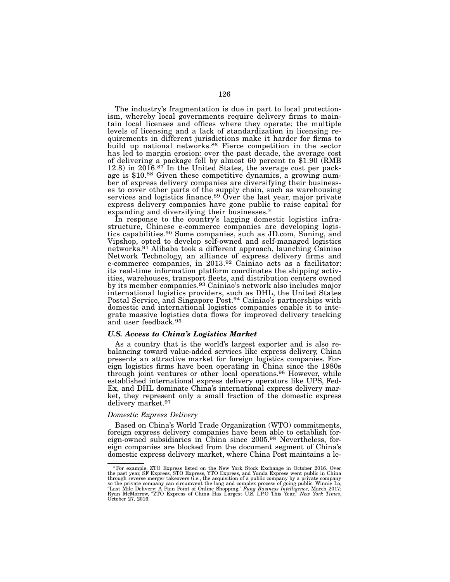The industry's fragmentation is due in part to local protection-<br>ism, whereby local governments require delivery firms to maintain local licenses and offices where they operate; the multiple levels of licensing and a lack of standardization in licensing requirements in different jurisdictions make it harder for firms to build up national networks.<sup>86</sup> Fierce competition in the sector has led to margin erosion: over the past decade, the average cost of delivering a package fell by almost 60 percent to \$1.90 (RMB 12.8) in 2016.<sup>87</sup> In the United States, the average cost per package is \$10.<sup>88</sup> Given these competitive dynamics, a growing number of express delivery companies are diversifying their businesses to cover other parts of the supply chain, such as warehousing services and logistics finance.<sup>89</sup> Over the last year, major private express delivery companies have gone public to raise capital for expanding and diversifying their businesses.\*<br>In response to the country's lagging domestic logistics infra-

structure, Chinese e-commerce companies are developing logistics capabilities.<sup>90</sup> Some companies, such as JD.com, Suning, and Vipshop, opted to develop self-owned and self-managed logistics networks.91 Alibaba took a different approach, launching Cainiao Network Technology, an alliance of express delivery firms and e-commerce companies, in 2013.92 Cainiao acts as a facilitator: its real-time information platform coordinates the shipping activ- ities, warehouses, transport fleets, and distribution centers owned by its member companies.93 Cainiao's network also includes major international logistics providers, such as DHL, the United States Postal Service, and Singapore Post.94 Cainiao's partnerships with domestic and international logistics companies enable it to integrate massive logistics data flows for improved delivery tracking and user feedback.95

## *U.S. Access to China's Logistics Market*

As a country that is the world's largest exporter and is also rebalancing toward value-added services like express delivery, China presents an attractive market for foreign logistics companies. Foreign logistics firms have been operating in China since the 1980s through joint ventures or other local operations.96 However, while established international express delivery operators like UPS, Fed-Ex, and DHL dominate China's international express delivery market, they represent only a small fraction of the domestic express delivery market.97

#### *Domestic Express Delivery*

Based on China's World Trade Organization (WTO) commitments, foreign express delivery companies have been able to establish foreign-owned subsidiaries in China since 2005.98 Nevertheless, foreign companies are blocked from the document segment of China's domestic express delivery market, where China Post maintains a le-

<sup>\*</sup> For example, ZTO Express listed on the New York Stock Exchange in October 2016. Over the past year, ST Express, STO Express, STO Express, and Yunda Express through reverse merger takeovers (i.e., the acquisition of a pub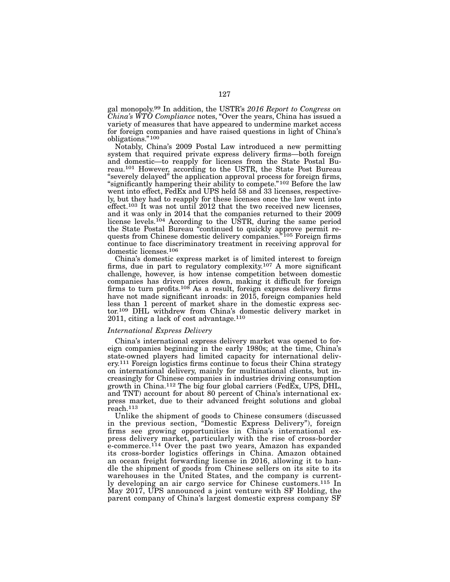gal monopoly.99 In addition, the USTR's *2016 Report to Congress on China's WTO Compliance* notes, "Over the years, China has issued a variety of measures that have appeared to undermine market access for foreign companies and have raised questions in light of China's obligations."100

Notably, China's 2009 Postal Law introduced a new permitting system that required private express delivery firms—both foreign and domestic—to reapply for licenses from the State Postal Bureau.101 However, according to the USTR, the State Post Bureau "severely delayed" the application approval process for foreign firms, "significantly hampering their ability to compete."102 Before the law went into effect, FedEx and UPS held 58 and 33 licenses, respectively, but they had to reapply for these licenses once the law went into effect.<sup>103</sup> It was not until 2012 that the two received new licenses, and it was only in 2014 that the companies returned to their 2009 license levels.<sup>104</sup> According to the USTR, during the same period the State Postal Bureau "continued to quickly approve permit requests from Chinese domestic delivery companies.<sup>"105</sup> Foreign firms continue to face discriminatory treatment in receiving approval for domestic licenses.106

China's domestic express market is of limited interest to foreign firms, due in part to regulatory complexity.107 A more significant challenge, however, is how intense competition between domestic companies has driven prices down, making it difficult for foreign firms to turn profits.<sup>108</sup> As a result, foreign express delivery firms have not made significant inroads: in 2015, foreign companies held less than 1 percent of market share in the domestic express sector.109 DHL withdrew from China's domestic delivery market in 2011, citing a lack of cost advantage.110

## *International Express Delivery*

China's international express delivery market was opened to foreign companies beginning in the early 1980s; at the time, China's state-owned players had limited capacity for international delivery.111 Foreign logistics firms continue to focus their China strategy on international delivery, mainly for multinational clients, but increasingly for Chinese companies in industries driving consumption growth in China.112 The big four global carriers (FedEx, UPS, DHL, and TNT) account for about 80 percent of China's international express market, due to their advanced freight solutions and global reach.113

Unlike the shipment of goods to Chinese consumers (discussed in the previous section, "Domestic Express Delivery"), foreign firms see growing opportunities in China's international express delivery market, particularly with the rise of cross-border e-commerce.<sup>114</sup> Over the past two years, Amazon has expanded its cross-border logistics offerings in China. Amazon obtained an ocean freight forwarding license in 2016, allowing it to handle the shipment of goods from Chinese sellers on its site to its warehouses in the United States, and the company is currently developing an air cargo service for Chinese customers.115 In May 2017, UPS announced a joint venture with SF Holding, the parent company of China's largest domestic express company SF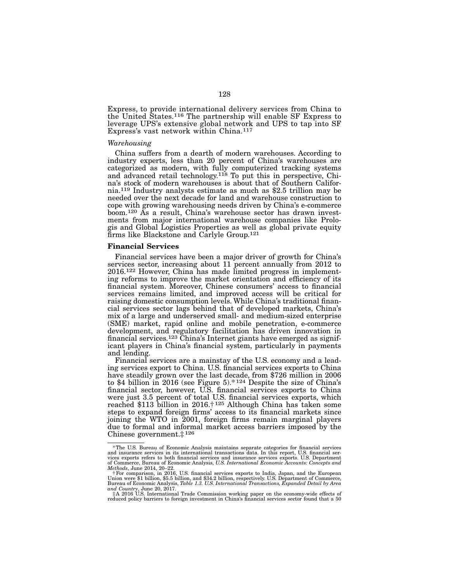Express, to provide international delivery services from China to the United States.116 The partnership will enable SF Express to leverage UPS's extensive global network and UPS to tap into SF Express's vast network within China.117

#### *Warehousing*

China suffers from a dearth of modern warehouses. According to industry experts, less than 20 percent of China's warehouses are categorized as modern, with fully computerized tracking systems and advanced retail technology.<sup>118</sup> To put this in perspective, China's stock of modern warehouses is about that of Southern California.119 Industry analysts estimate as much as \$2.5 trillion may be needed over the next decade for land and warehouse construction to cope with growing warehousing needs driven by China's e-commerce boom.120 As a result, China's warehouse sector has drawn investments from major international warehouse companies like Prologis and Global Logistics Properties as well as global private equity firms like Blackstone and Carlyle Group.<sup>121</sup>

#### Financial Services

Financial services have been a major driver of growth for China's services sector, increasing about 11 percent annually from 2012 to 2016.122 However, China has made limited progress in implementing reforms to improve the market orientation and efficiency of its financial system. Moreover, Chinese consumers' access to financial services remains limited, and improved access will be critical for raising domestic consumption levels. While China's traditional financial services sector lags behind that of developed markets, China's mix of a large and underserved small- and medium-sized enterprise (SME) market, rapid online and mobile penetration, e-commerce development, and regulatory facilitation has driven innovation in financial services.123 China's Internet giants have emerged as significant players in China's financial system, particularly in payments and lending.

Financial services are a mainstay of the U.S. economy and a leading services export to China. U.S. financial services exports to China have steadily grown over the last decade, from \$726 million in 2006 to \$4 billion in 2016 (see Figure 5).\* 124 Despite the size of China's financial sector, however, U.S. financial services exports to China were just 3.5 percent of total U.S. financial services exports, which reached \$113 billion in 2016.† 125 Although China has taken some steps to expand foreign firms' access to its financial markets since joining the WTO in 2001, foreign firms remain marginal players due to formal and informal market access barriers imposed by the Chinese government.‡ 126

<sup>\*</sup>The U.S. Bureau of Economic Analysis maintains separate categories for financial services and insurance services in its international transactions data. In this report, U.S. financial ser-<br>vices exports refers to both financial services and insurance services exports. U.S. Department<br>of Commerce, Bureau of Econ *Methods*, June 2014, 20–22.

f For comparison, in 2016, U.S. financial services exports to India, Japan, and the European<br>Union were \$1 billion, \$5.5 billion, and \$34.2 billion, respectively. U.S. Department of Commerce,<br>Bureau of Economic Analysis,

*and Country*, June 20, 2017. ‡A 2016 U.S. International Trade Commission working paper on the economy-wide effects of reduced policy barriers to foreign investment in China's financial services sector found that a 50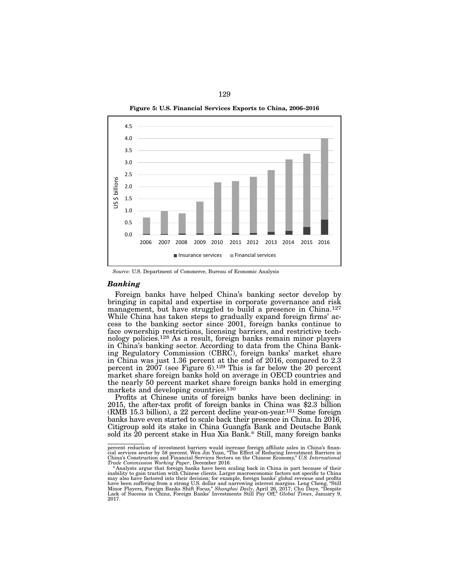

Figure 5: U.S. Financial Services Exports to China, 2006–2016

*Source:* U.S. Department of Commerce, Bureau of Economic Analysis

#### *Banking*

Foreign banks have helped China's banking sector develop by bringing in capital and expertise in corporate governance and risk management, but have struggled to build a presence in China.<sup>127</sup> While China has taken steps to gradually expand foreign firms' access to the banking sector since 2001, foreign banks continue to face ownership restrictions, licensing barriers, and restrictive technology policies.128 As a result, foreign banks remain minor players in China's banking sector. According to data from the China Banking Regulatory Commission (CBRC), foreign banks' market share in China was just 1.36 percent at the end of 2016, compared to 2.3 percent in  $2007$  (see Figure 6).<sup>129</sup> This is far below the 20 percent market share foreign banks hold on average in OECD countries and the nearly 50 percent market share foreign banks hold in emerging markets and developing countries.130

Profits at Chinese units of foreign banks have been declining: in 2015, the after-tax profit of foreign banks in China was \$2.3 billion (RMB 15.3 billion), a 22 percent decline year-on-year.131 Some foreign banks have even started to scale back their presence in China. In 2016, Citigroup sold its stake in China Guangfa Bank and Deutsche Bank sold its 20 percent stake in Hua Xia Bank.\* Still, many foreign banks

percent reduction of investment barriers would increase foreign affiliate sales in China's finan-<br>cial services sector by 58 percent. Wen Jin Yuan, "The Effect of Reducing Investment Barriers in<br>China's Construction and Fi

Trade Commission Working Paper, December 2016.<br>\*Analysts argue that foreign banks have been scaling back in China in part because of their<br>inability to gain traction with Chinese clients. Larger macroeconomic factors not s may also have factored into their decision; for example, foreign banks' global revenue and profits<br>have been suffering from a strong U.S. dollar and narrowing interest margins. Leng Cheng, "Still<br>Minor Players, Foreign Ban 2017.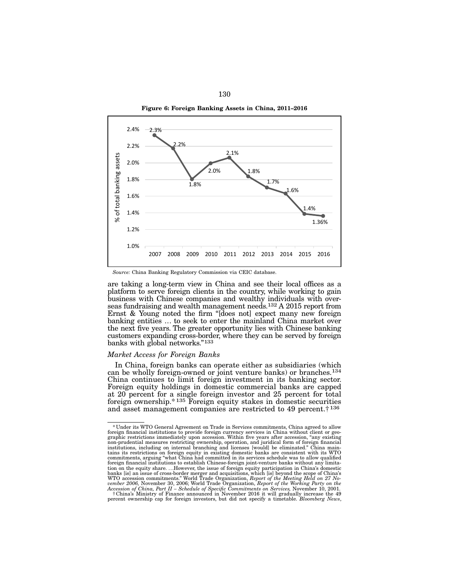



*Source:* China Banking Regulatory Commission via CEIC database.

are taking a long-term view in China and see their local offices as a platform to serve foreign clients in the country, while working to gain business with Chinese companies and wealthy individuals with overseas fundraising and wealth management needs.<sup>132</sup> A 2015 report from Ernst & Young noted the firm "[does not] expect many new foreign banking entities ... to seek to enter the mainland China market over the next five years. The greater opportunity lies with Chinese banking customers expanding cross-border, where they can be served by foreign banks with global networks."133

#### *Market Access for Foreign Banks*

In China, foreign banks can operate either as subsidiaries (which can be wholly foreign-owned or joint venture banks) or branches.134 China continues to limit foreign investment in its banking sector. Foreign equity holdings in domestic commercial banks are capped at 20 percent for a single foreign investor and 25 percent for total foreign ownership.\* 135 Foreign equity stakes in domestic securities and asset management companies are restricted to 49 percent.† 136

<sup>\*</sup>Under its WTO General Agreement on Trade in Services commitments, China agreed to allow foreign financial institutions to provide foreign currency services in China without client or geographic restrictions immediately upon accession. Within five years after accession, "any existing non-prudential measures re tains its restrictions on foreign equity in existing domestic banks are consistent with its WTO commitments, arguing "what China had committed in its services schedule was to allow qualified foreign financial institutions foreign financial institutions to establish Chinese-foreign joint-venture banks without any limita-<br>tion on the equity share. ...However, the issue of foreign equity participation in China's domestic<br>banks [is] an issue of

percent ownership cap for foreign investors, but did not specify a timetable. *Bloomberg News*,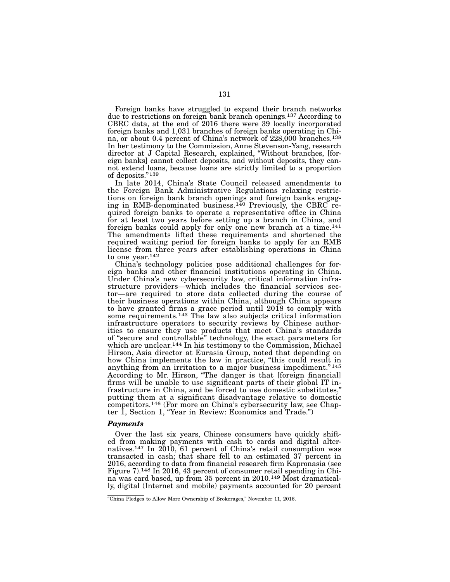Foreign banks have struggled to expand their branch networks due to restrictions on foreign bank branch openings.137 According to CBRC data, at the end of 2016 there were 39 locally incorporated foreign banks and 1,031 branches of foreign banks operating in China, or about 0.4 percent of China's network of 228,000 branches.<sup>138</sup> In her testimony to the Commission, Anne Stevenson-Yang, research director at J Capital Research, explained, "Without branches, [foreign banks] cannot collect deposits, and without deposits, they cannot extend loans, because loans are strictly limited to a proportion of deposits."139

In late 2014, China's State Council released amendments to the Foreign Bank Administrative Regulations relaxing restrictions on foreign bank branch openings and foreign banks engaging in RMB-denominated business.<sup>140</sup> Previously, the CBRC required foreign banks to operate a representative office in China for at least two years before setting up a branch in China, and foreign banks could apply for only one new branch at a time.<sup>141</sup> The amendments lifted these requirements and shortened the required waiting period for foreign banks to apply for an RMB license from three years after establishing operations in China to one year.142

China's technology policies pose additional challenges for foreign banks and other financial institutions operating in China. Under China's new cybersecurity law, critical information infrastructure providers—which includes the financial services sector—are required to store data collected during the course of their business operations within China, although China appears to have granted firms a grace period until 2018 to comply with some requirements.<sup>143</sup> The law also subjects critical information infrastructure operators to security reviews by Chinese authorities to ensure they use products that meet China's standards of "secure and controllable" technology, the exact parameters for which are unclear.<sup>144</sup> In his testimony to the Commission, Michael Hirson, Asia director at Eurasia Group, noted that depending on how China implements the law in practice, "this could result in anything from an irritation to a major business impediment." 145 According to Mr. Hirson, "The danger is that [foreign financial] firms will be unable to use significant parts of their global IT infrastructure in China, and be forced to use domestic substitutes," putting them at a significant disadvantage relative to domestic competitors.146 (For more on China's cybersecurity law, see Chapter 1, Section 1, "Year in Review: Economics and Trade.")

## *Payments*

Over the last six years, Chinese consumers have quickly shifted from making payments with cash to cards and digital alternatives.147 In 2010, 61 percent of China's retail consumption was transacted in cash; that share fell to an estimated 37 percent in 2016, according to data from financial research firm Kapronasia (see Figure 7).148 In 2016, 43 percent of consumer retail spending in China was card based, up from 35 percent in 2010.149 Most dramatically, digital (Internet and mobile) payments accounted for 20 percent

<sup>&</sup>quot;China Pledges to Allow More Ownership of Brokerages," November 11, 2016.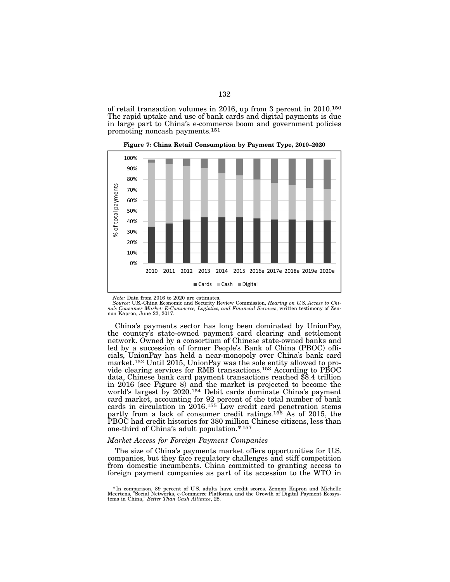of retail transaction volumes in 2016, up from 3 percent in 2010.150 The rapid uptake and use of bank cards and digital payments is due in large part to China's e-commerce boom and government policies promoting noncash payments.151



Figure 7: China Retail Consumption by Payment Type, 2010–2020

Note: Data from 2016 to 2020 are estimates.<br>Source: U.S.-China Economic and Security Review Commission, *Hearing on U.S. Access to Chi*<br>na's Consumer Market: E-Commerce, Logistics, and Financial Services, written testimony non Kapron, June 22, 2017.

one-third of China's adult population.\*157 .u.u<br>31.  $\overline{\mathfrak{a}}$ hinese bank card payment transactions reached cials, UnionPay has held a near-monopoly over China's bank card the country's state-owned payment card clearing and settlement<br>network. Owned by a consortium of Chinese state-owned banks and  $\mathbf{I}$ card market, accounting for 92 percent of the total number of bank 5 world's largest by 2020.154 Debit cards dominate China's payment market.<sup>152</sup> Until 2015, UnionPay was the sole entity allowed to pro-<br>vide clearing services for RMB transactions.<sup>153</sup> According to PBOC<br>data, Chinese bank card payment transactions reached \$8.4 trillion led by a succession of former People's Bank of China (PBOC) offi-Ud<br>|d<br>!s<br>!ly China's payments sector has long been dominated by UnionPay, network. Owned by a consortium of Chinese state-owned banks and in 2016 (see Figure 8) and the market is projected to become the cards in circulation in 2016.155 Low credit card penetration stems partly from a lack of consumer credit ratings.156 As of 2015, the PBOC had credit histories for 380 million Chinese citizens, less than

# 1.54 1 *Market Access for Foreign Payment Companies*

The size of China's payments market offers opportunities for U.S. 0 companies, but they face regulatory challenges and stiff competition 2006 2007 2008 2009 2010 2011 2012 2013 2014 2015 2016 from domestic incumbents. China committed to granting access to foreign payment companies as part of its accession to the WTO in

<sup>&</sup>lt;sup>\*</sup> In comparison, 89 percent of U.S. adults have credit scores. Zennon Kapron and Michelle<br>Meertens, "Social Networks, e-Commerce Platforms, and the Growth of Digital Payment Ecosys-<br>tems in China," *Better Than Cash Alli*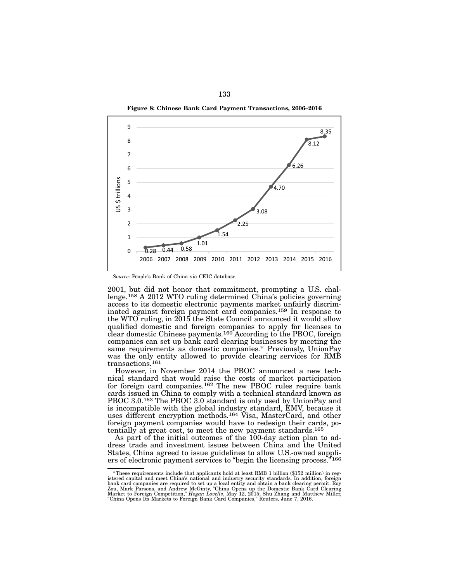Figure 8: Chinese Bank Card Payment Transactions, 2006–2016



*Source:* People's Bank of China via CEIC database.

2001, but did not honor that commitment, prompting a U.S. challenge.158 A 2012 WTO ruling determined China's policies governing access to its domestic electronic payments market unfairly discriminated against foreign payment card companies.<sup>159</sup> In response to the WTO ruling, in 2015 the State Council announced it would allow qualified domestic and foreign companies to apply for licenses to clear domestic Chinese payments.160 According to the PBOC, foreign companies can set up bank card clearing businesses by meeting the same requirements as domestic companies.\* Previously, UnionPay was the only entity allowed to provide clearing services for RMB transactions.161

However, in November 2014 the PBOC announced a new technical standard that would raise the costs of market participation for foreign card companies.162 The new PBOC rules require bank cards issued in China to comply with a technical standard known as PBOC 3.0.163 The PBOC 3.0 standard is only used by UnionPay and is incompatible with the global industry standard, EMV, because it uses different encryption methods.164 Visa, MasterCard, and other foreign payment companies would have to redesign their cards, potentially at great cost, to meet the new payment standards.165

As part of the initial outcomes of the 100-day action plan to address trade and investment issues between China and the United States, China agreed to issue guidelines to allow U.S.-owned suppliers of electronic payment services to "begin the licensing process."<sup>166</sup>

<sup>\*</sup>These requirements include that applicants hold at least RMB 1 billion (\$152 million) in registered capital and meet China's national and industry security standards. In addition, foreign bank card companies are required "China Opens Its Markets to Foreign Bank Card Companies," Reuters, June 7, 2016.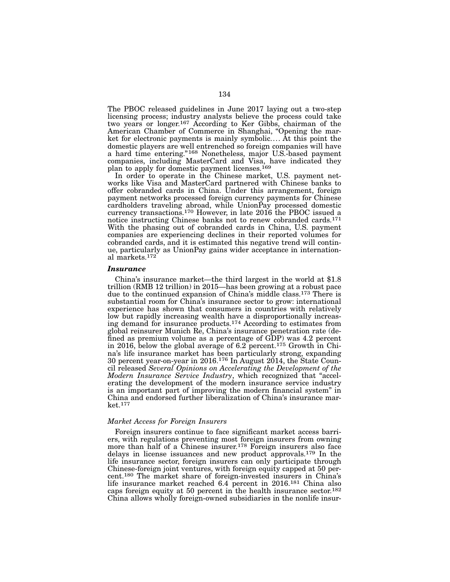The PBOC released guidelines in June 2017 laying out a two-step licensing process; industry analysts believe the process could take two years or longer.167 According to Ker Gibbs, chairman of the American Chamber of Commerce in Shanghai, "Opening the market for electronic payments is mainly symbolic.... At this point the domestic players are well entrenched so foreign companies will have a hard time entering."168 Nonetheless, major U.S.-based payment companies, including MasterCard and Visa, have indicated they plan to apply for domestic payment licenses.169

In order to operate in the Chinese market, U.S. payment networks like Visa and MasterCard partnered with Chinese banks to offer cobranded cards in China. Under this arrangement, foreign payment networks processed foreign currency payments for Chinese cardholders traveling abroad, while UnionPay processed domestic currency transactions.170 However, in late 2016 the PBOC issued a notice instructing Chinese banks not to renew cobranded cards.171 With the phasing out of cobranded cards in China, U.S. payment companies are experiencing declines in their reported volumes for cobranded cards, and it is estimated this negative trend will continue, particularly as UnionPay gains wider acceptance in international markets.172

#### *Insurance*

China's insurance market—the third largest in the world at \$1.8 trillion (RMB 12 trillion) in 2015—has been growing at a robust pace due to the continued expansion of China's middle class.173 There is substantial room for China's insurance sector to grow: international experience has shown that consumers in countries with relatively low but rapidly increasing wealth have a disproportionally increasing demand for insurance products.174 According to estimates from global reinsurer Munich Re, China's insurance penetration rate (defined as premium volume as a percentage of GDP) was 4.2 percent in 2016, below the global average of 6.2 percent.175 Growth in China's life insurance market has been particularly strong, expanding 30 percent year-on-year in 2016.176 In August 2014, the State Council released *Several Opinions on Accelerating the Development of the Modern Insurance Service Industry*, which recognized that "accelerating the development of the modern insurance service industry is an important part of improving the modern financial system" in China and endorsed further liberalization of China's insurance market.177

## *Market Access for Foreign Insurers*

Foreign insurers continue to face significant market access barriers, with regulations preventing most foreign insurers from owning more than half of a Chinese insurer.<sup>178</sup> Foreign insurers also face delays in license issuances and new product approvals.179 In the life insurance sector, foreign insurers can only participate through Chinese-foreign joint ventures, with foreign equity capped at 50 percent.180 The market share of foreign-invested insurers in China's life insurance market reached 6.4 percent in 2016.181 China also caps foreign equity at 50 percent in the health insurance sector.182 China allows wholly foreign-owned subsidiaries in the nonlife insur-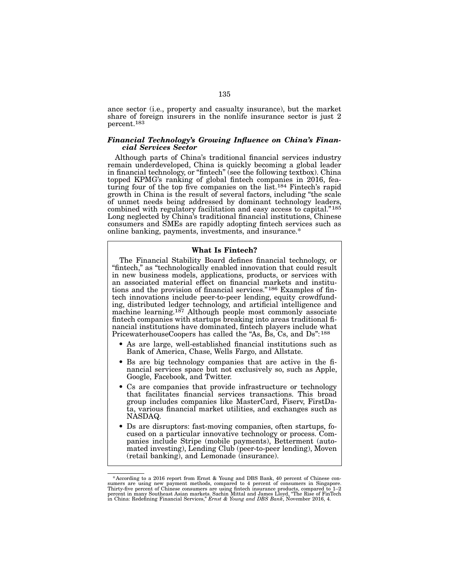ance sector (i.e., property and casualty insurance), but the market share of foreign insurers in the nonlife insurance sector is just 2 percent.183

## *Financial Technology's Growing Influence on China's Financial Services Sector*

Although parts of China's traditional financial services industry remain underdeveloped, China is quickly becoming a global leader in financial technology, or "fintech" (see the following textbox). China topped KPMG's ranking of global fintech companies in 2016, fea-<br>turing four of the top five companies on the list.<sup>184</sup> Fintech's rapid growth in China is the result of several factors, including "the scale of unmet needs being addressed by dominant technology leaders, combined with regulatory facilitation and easy access to capital."<sup>185</sup> Long neglected by China's traditional financial institutions, Chinese consumers and SMEs are rapidly adopting fintech services such as online banking, payments, investments, and insurance.\*

#### What Is Fintech?

The Financial Stability Board defines financial technology, or "fintech," as "technologically enabled innovation that could result in new business models, applications, products, or services with an associated material effect on financial markets and institutions and the provision of financial services."186 Examples of fintech innovations include peer-to-peer lending, equity crowdfunding, distributed ledger technology, and artificial intelligence and machine learning.<sup>187</sup> Although people most commonly associate fintech companies with startups breaking into areas traditional financial institutions have dominated, fintech players include what PricewaterhouseCoopers has called the "As, Bs, Cs, and Ds":<sup>188</sup>

- As are large, well-established financial institutions such as Bank of America, Chase, Wells Fargo, and Allstate.
- Bs are big technology companies that are active in the financial services space but not exclusively so, such as Apple, Google, Facebook, and Twitter.
- Cs are companies that provide infrastructure or technology that facilitates financial services transactions. This broad group includes companies like MasterCard, Fiserv, FirstData, various financial market utilities, and exchanges such as NASDAQ.
- Ds are disruptors: fast-moving companies, often startups, fo-<br>cused on a particular innovative technology or process. Com-<br>panies include Stripe (mobile payments), Betterment (auto-<br>mated investing), Lending Club (peer-t (retail banking), and Lemonade (insurance).

<sup>\*</sup>According to a 2016 report from Ernst & Young and DBS Bank, 40 percent of Chinese consumers are using new payment methods, compared to 4 percent of consumers in Singapore. Thirty-five percent of Chinese consumers are usi in China: Redefining Financial Services," *Ernst & Young and DBS Bank*, November 2016, 4.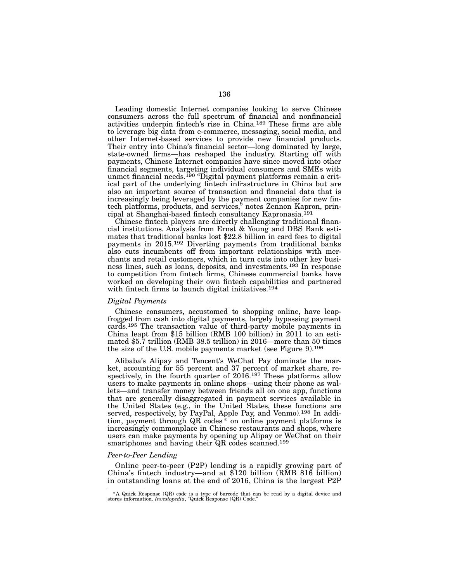Leading domestic Internet companies looking to serve Chinese consumers across the full spectrum of financial and nonfinancial activities underpin fintech's rise in China.189 These firms are able to leverage big data from e-commerce, messaging, social media, and other Internet-based services to provide new financial products. Their entry into China's financial sector—long dominated by large, state-owned firms—has reshaped the industry. Starting off with payments, Chinese Internet companies have since moved into other financial segments, targeting individual consumers and SMEs with unmet financial needs.<sup>190</sup> "Digital payment platforms remain a critical part of the underlying fintech infrastructure in China but are also an important source of transaction and financial data that is increasingly being leveraged by the payment companies for new fintech platforms, products, and services," notes Zennon Kapron, principal at Shanghai-based fintech consultancy Kapronasia.<sup>191</sup>

Chinese fintech players are directly challenging traditional financial institutions. Analysis from Ernst & Young and DBS Bank estimates that traditional banks lost \$22.8 billion in card fees to digital payments in 2015.<sup>192</sup> Diverting payments from traditional banks also cuts incumbents off from important relationships with merchants and retail customers, which in turn cuts into other key business lines, such as loans, deposits, and investments.193 In response to competition from fintech firms, Chinese commercial banks have worked on developing their own fintech capabilities and partnered with fintech firms to launch digital initiatives.<sup>194</sup>

# *Digital Payments*

Chinese consumers, accustomed to shopping online, have leapfrogged from cash into digital payments, largely bypassing payment cards.195 The transaction value of third-party mobile payments in China leapt from \$15 billion (RMB 100 billion) in 2011 to an estimated \$5.7 trillion (RMB 38.5 trillion) in 2016—more than 50 times the size of the U.S. mobile payments market (see Figure 9).196

Alibaba's Alipay and Tencent's WeChat Pay dominate the market, accounting for 55 percent and 37 percent of market share, respectively, in the fourth quarter of 2016.<sup>197</sup> These platforms allow users to make payments in online shops—using their phone as wallets—and transfer money between friends all on one app, functions that are generally disaggregated in payment services available in the United States (e.g., in the United States, these functions are served, respectively, by PayPal, Apple Pay, and Venmo).<sup>198</sup> In addition, payment through  $QR$  codes<sup>\*</sup> on online payment platforms is increasingly commonplace in Chinese restaurants and shops, where users can make payments by opening up Alipay or WeChat on their smartphones and having their QR codes scanned.<sup>199</sup>

#### *Peer-to-Peer Lending*

Online peer-to-peer (P2P) lending is a rapidly growing part of China's fintech industry—and at \$120 billion (RMB 816 billion) in outstanding loans at the end of 2016, China is the largest P2P

<sup>\*</sup>A Quick Response (QR) code is a type of barcode that can be read by a digital device and stores information. *Investopedia*, "Quick Response (QR) Code."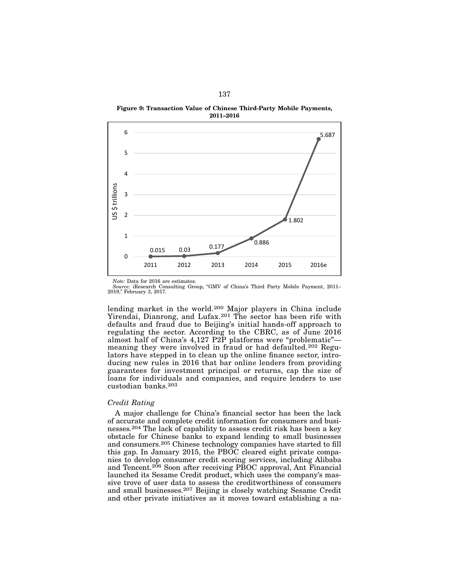Figure 9: Transaction Value of Chinese Third-Party Mobile Payments, 2011–2016



*Note:* Data for 2016 are estimates.

*Source:* iResearch Consulting Group, "GMV of China's Third Party Mobile Payment, 2011– 2019," February 3, 2017.

lending market in the world.200 Major players in China include Yirendai, Dianrong, and Lufax.<sup>201</sup> The sector has been rife with defaults and fraud due to Beijing's initial hands-off approach to regulating the sector. According to the CBRC, as of June 2016 almost half of China's 4,127 P2P platforms were "problematic" meaning they were involved in fraud or had defaulted.202 Regulators have stepped in to clean up the online finance sector, introducing new rules in 2016 that bar online lenders from providing guarantees for investment principal or returns, cap the size of loans for individuals and companies, and require lenders to use custodian banks.203

#### *Credit Rating*

A major challenge for China's financial sector has been the lack of accurate and complete credit information for consumers and businesses.204 The lack of capability to assess credit risk has been a key obstacle for Chinese banks to expand lending to small businesses and consumers.205 Chinese technology companies have started to fill this gap. In January 2015, the PBOC cleared eight private companies to develop consumer credit scoring services, including Alibaba and Tencent.<sup>206</sup> Soon after receiving PBOC approval, Ant Financial launched its Sesame Credit product, which uses the company's massive trove of user data to assess the creditworthiness of consumers and small businesses.207 Beijing is closely watching Sesame Credit and other private initiatives as it moves toward establishing a na-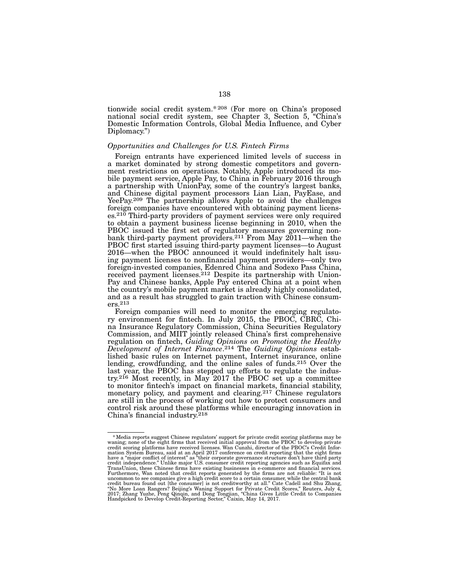tionwide social credit system.\* 208 (For more on China's proposed national social credit system, see Chapter 3, Section 5, "China's Domestic Information Controls, Global Media Influence, and Cyber Diplomacy.")

## *Opportunities and Challenges for U.S. Fintech Firms*

Foreign entrants have experienced limited levels of success in a market dominated by strong domestic competitors and government restrictions on operations. Notably, Apple introduced its mobile payment service, Apple Pay, to China in February 2016 through a partnership with UnionPay, some of the country's largest banks, and Chinese digital payment processors Lian Lian, PayEase, and YeePay.<sup>209</sup> The partnership allows Apple to avoid the challenges foreign companies have encountered with obtaining payment licenses.<sup>210</sup> Third-party providers of payment services were only required to obtain a payment business license beginning in 2010, when the PBOC issued the first set of regulatory measures governing nonbank third-party payment providers.<sup>211</sup> From May 2011—when the PBOC first started issuing third-party payment licenses—to August 2016—when the PBOC announced it would indefinitely halt issuing payment licenses to nonfinancial payment providers—only two foreign-invested companies, Edenred China and Sodexo Pass China, received payment licenses.<sup>212</sup> Despite its partnership with Union-Pay and Chinese banks, Apple Pay entered China at a point when the country's mobile payment market is already highly consolidated, and as a result has struggled to gain traction with Chinese consumers.213

Foreign companies will need to monitor the emerging regulatory environment for fintech. In July 2015, the PBOC, CBRC, China Insurance Regulatory Commission, China Securities Regulatory Commission, and MIIT jointly released China's first comprehensive regulation on fintech, *Guiding Opinions on Promoting the Healthy Development of Internet Finance*.214 The *Guiding Opinions* established basic rules on Internet payment, Internet insurance, online lending, crowdfunding, and the online sales of funds.215 Over the last year, the PBOC has stepped up efforts to regulate the industry.216 Most recently, in May 2017 the PBOC set up a committee to monitor fintech's impact on financial markets, financial stability, monetary policy, and payment and clearing.<sup>217</sup> Chinese regulators are still in the process of working out how to protect consumers and control risk around these platforms while encouraging innovation in China's financial industry.218

<sup>\*</sup> Media reports suggest Chinese regulators' support for private credit scoring platforms may be waning; none of the eight firms that received initial approval from the PBOC to develop private credit scoring platforms have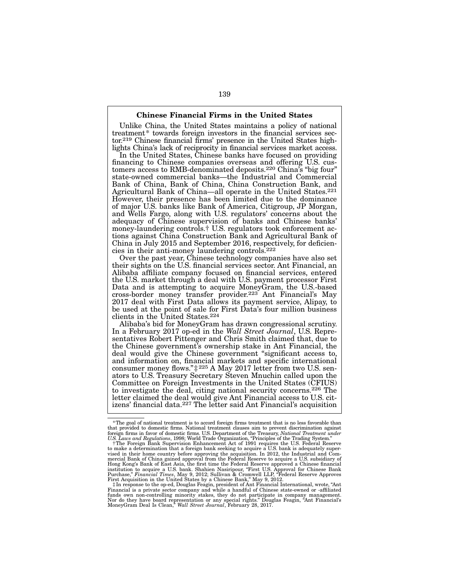#### Chinese Financial Firms in the United States

Unlike China, the United States maintains a policy of national treatment<sup>\*</sup> towards foreign investors in the financial services sector.<sup>219</sup> Chinese financial firms' presence in the United States high- lights China's lack of reciprocity in financial services market access.

In the United States, Chinese banks have focused on providing financing to Chinese companies overseas and offering U.S. cus- tomers access to RMB-denominated deposits.220 China's "big four" state-owned commercial banks—the Industrial and Commercial Bank of China, Bank of China, China Construction Bank, and Agricultural Bank of China—all operate in the United States.221 However, their presence has been limited due to the dominance of major U.S. banks like Bank of America, Citigroup, JP Morgan, and Wells Fargo, along with U.S. regulators' concerns about the adequacy of Chinese supervision of banks and Chinese banks' tions against China Construction Bank and Agricultural Bank of China in July 2015 and September 2016, respectively, for deficien- cies in their anti-money laundering controls.222

Over the past year, Chinese technology companies have also set their sights on the U.S. financial services sector. Ant Financial, an Alibaba affiliate company focused on financial services, entered the U.S. market through a deal with U.S. payment processor First Data and is attempting to acquire MoneyGram, the U.S.-based cross-border money transfer provider.223 Ant Financial's May 2017 deal with First Data allows its payment service, Alipay, to be used at the point of sale for First Data's four million business clients in the United States.224

Alibaba's bid for MoneyGram has drawn congressional scrutiny. In a February 2017 op-ed in the *Wall Street Journal*, U.S. Representatives Robert Pittenger and Chris Smith claimed that, due to the Chinese government's ownership stake in Ant Financial, the deal would give the Chinese government "significant access to, and information on, financial markets and specific international consumer money flows."‡ 225 A May 2017 letter from two U.S. senators to U.S. Treasury Secretary Steven Mnuchin called upon the Committee on Foreign Investments in the United States (CFIUS) to investigate the deal, citing national security concerns.226 The letter claimed the deal would give Ant Financial access to U.S. citizens' financial data.227 The letter said Ant Financial's acquisition

<sup>\*</sup>The goal of national treatment is to accord foreign firms treatment that is no less favorable than that provided to domestic firms. National treatment clauses aim to prevent discrimination against foreign firms in favor of domestic firms. U.S. Department of the Treasury, *National Treatment under* 

U.S. Laws and Regulations, 1998; World Trade Organization, "Principles of the Trading System."<br>The Foreign Bank Supervision Enhancement Act of 1991 requires the U.S. Federal Reserve<br>to make a determination that a foreign vised in their home country before approving the acquisition. In 2012, the Industrial and Commercial Bank of China gained approval from the Federal Reserve to acquire a U.S. subsidiary of Hong Kong's Bank of East Asia, the first time the Federal Reserve approved a Chinese financial institution to acquire a U.S. bank. Shahien Nasiripour, "First U.S. Approval for Chinese Bank<br>Purchase," *Financial Times*, May 9, 2012; Sullivan & Cromwell LLP, "Federal Reserve Approves<br>First Acquisition in the United St

In response to the op-ed, Douglas Feagin, president of Ant Financial International, wrote, "Ant ‡<br>Financial is a private sector company and while a handful of Chinese state-owned or -affiliated<br>funds own non-controlling mi Nor do they have board representation or any special rights." Douglas Feagin, "Ant Financial's MoneyGram Deal Is Clean," *Wall Street Journal*, February 28, 2017.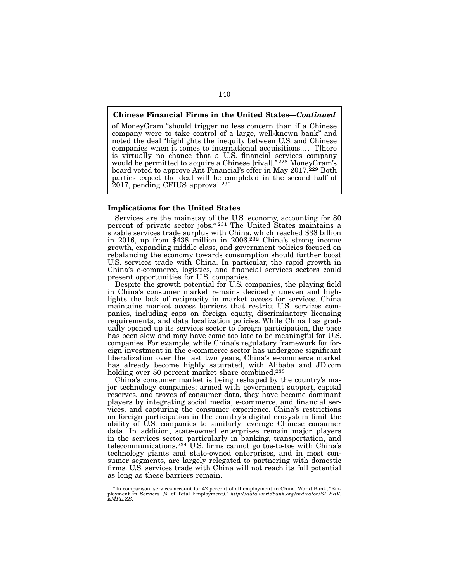## Chinese Financial Firms in the United States—*Continued*

of MoneyGram "should trigger no less concern than if a Chinese company were to take control of a large, well-known bank" and noted the deal "highlights the inequity between U.S. and Chinese companies when it comes to international acquisitions.... [T]here is virtually no chance that a U.S. financial services company would be permitted to acquire a Chinese [rival]."<sup>228</sup> MoneyGram's board voted to approve Ant Financial's offer in May 2017.<sup>229</sup> Both parties expect the deal will be completed in the second half of 2017, pending CFIUS approval.230

## Implications for the United States

Services are the mainstay of the U.S. economy, accounting for 80 percent of private sector jobs.\*231 The United States maintains a sizable services trade surplus with China, which reached \$38 billion in 2016, up from \$438 million in 2006.232 China's strong income growth, expanding middle class, and government policies focused on rebalancing the economy towards consumption should further boost U.S. services trade with China. In particular, the rapid growth in China's e-commerce, logistics, and financial services sectors could present opportunities for U.S. companies.

Despite the growth potential for U.S. companies, the playing field in China's consumer market remains decidedly uneven and highlights the lack of reciprocity in market access for services. China maintains market access barriers that restrict U.S. services companies, including caps on foreign equity, discriminatory licensing requirements, and data localization policies. While China has gradually opened up its services sector to foreign participation, the pace has been slow and may have come too late to be meaningful for U.S. companies. For example, while China's regulatory framework for foreign investment in the e-commerce sector has undergone significant liberalization over the last two years, China's e-commerce market has already become highly saturated, with Alibaba and JD.com holding over 80 percent market share combined.<sup>233</sup>

China's consumer market is being reshaped by the country's major technology companies; armed with government support, capital reserves, and troves of consumer data, they have become dominant players by integrating social media, e-commerce, and financial services, and capturing the consumer experience. China's restrictions on foreign participation in the country's digital ecosystem limit the ability of U.S. companies to similarly leverage Chinese consumer data. In addition, state-owned enterprises remain major players in the services sector, particularly in banking, transportation, and telecommunications.234 U.S. firms cannot go toe-to-toe with China's technology giants and state-owned enterprises, and in most con- sumer segments, are largely relegated to partnering with domestic firms. U.S. services trade with China will not reach its full potential as long as these barriers remain.

<sup>\*</sup>In comparison, services account for 42 percent of all employment in China. World Bank, "Em-ployment in Services (% of Total Employment)." *http://data.worldbank.org/indicator/SL.SRV. EMPL.ZS*.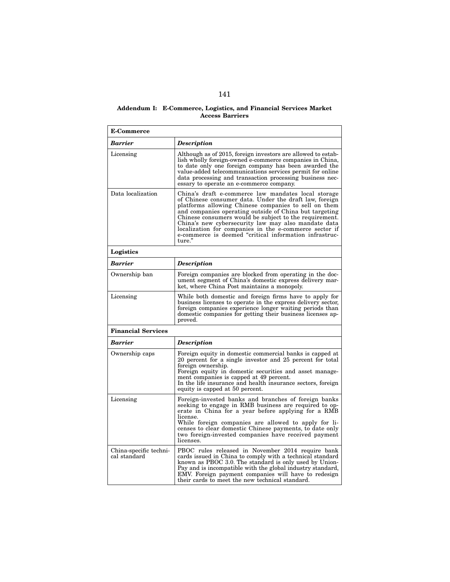#### Addendum I: E-Commerce, Logistics, and Financial Services Market Access Barriers

| <b>E-Commerce</b>                      |                                                                                                                                                                                                                                                                                                                                                                                                                                                                                |  |  |  |
|----------------------------------------|--------------------------------------------------------------------------------------------------------------------------------------------------------------------------------------------------------------------------------------------------------------------------------------------------------------------------------------------------------------------------------------------------------------------------------------------------------------------------------|--|--|--|
| Barrier                                | <b>Description</b>                                                                                                                                                                                                                                                                                                                                                                                                                                                             |  |  |  |
| Licensing                              | Although as of 2015, foreign investors are allowed to estab-<br>lish wholly foreign-owned e-commerce companies in China,<br>to date only one foreign company has been awarded the<br>value-added telecommunications services permit for online<br>data processing and transaction processing business nec-<br>essary to operate an e-commerce company.                                                                                                                         |  |  |  |
| Data localization                      | China's draft e-commerce law mandates local storage<br>of Chinese consumer data. Under the draft law, foreign<br>platforms allowing Chinese companies to sell on them<br>and companies operating outside of China but targeting<br>Chinese consumers would be subject to the requirement.<br>China's new cybersecurity law may also mandate data<br>localization for companies in the e-commerce sector if<br>e-commerce is deemed "critical information infrastruc-<br>ture." |  |  |  |
| Logistics                              |                                                                                                                                                                                                                                                                                                                                                                                                                                                                                |  |  |  |
| Barrier                                | <b>Description</b>                                                                                                                                                                                                                                                                                                                                                                                                                                                             |  |  |  |
| Ownership ban                          | Foreign companies are blocked from operating in the doc-<br>ument segment of China's domestic express delivery mar-<br>ket, where China Post maintains a monopoly.                                                                                                                                                                                                                                                                                                             |  |  |  |
| Licensing                              | While both domestic and foreign firms have to apply for<br>business licenses to operate in the express delivery sector,<br>foreign companies experience longer waiting periods than<br>domestic companies for getting their business licenses ap-<br>proved.                                                                                                                                                                                                                   |  |  |  |
| <b>Financial Services</b>              |                                                                                                                                                                                                                                                                                                                                                                                                                                                                                |  |  |  |
| <b>Barrier</b>                         | <b>Description</b>                                                                                                                                                                                                                                                                                                                                                                                                                                                             |  |  |  |
| Ownership caps                         | Foreign equity in domestic commercial banks is capped at<br>20 percent for a single investor and 25 percent for total<br>foreign ownership.<br>Foreign equity in domestic securities and asset manage-<br>ment companies is capped at 49 percent.<br>In the life insurance and health insurance sectors, foreign<br>equity is capped at 50 percent.                                                                                                                            |  |  |  |
| Licensing                              | Foreign-invested banks and branches of foreign banks<br>seeking to engage in RMB business are required to op-<br>erate in China for a year before applying for a RMB<br>license.<br>While foreign companies are allowed to apply for li-<br>censes to clear domestic Chinese payments, to date only<br>two foreign-invested companies have received payment<br>licenses.                                                                                                       |  |  |  |
| China-specific techni-<br>cal standard | PBOC rules released in November 2014 require bank<br>cards issued in China to comply with a technical standard<br>known as PBOC 3.0. The standard is only used by Union-<br>Pay and is incompatible with the global industry standard,<br>EMV. Foreign payment companies will have to redesign<br>their cards to meet the new technical standard.                                                                                                                              |  |  |  |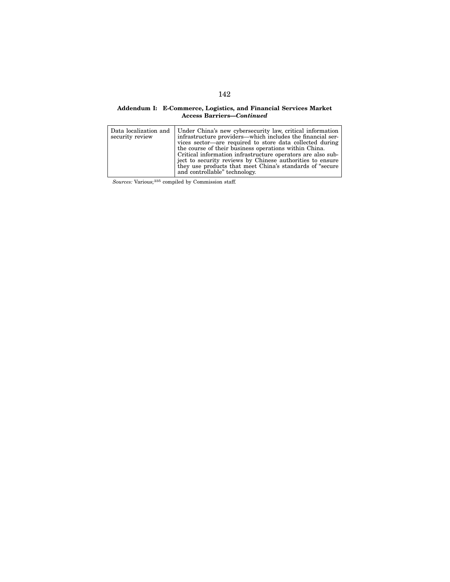#### Addendum I: E-Commerce, Logistics, and Financial Services Market Access Barriers—*Continued*

| security review | Data localization and   Under China's new cybersecurity law, critical information<br>infrastructure providers—which includes the financial ser-<br>vices sector—are required to store data collected during<br>the course of their business operations within China.<br>Critical information infrastructure operators are also sub-<br>ject to security reviews by Chinese authorities to ensure |
|-----------------|--------------------------------------------------------------------------------------------------------------------------------------------------------------------------------------------------------------------------------------------------------------------------------------------------------------------------------------------------------------------------------------------------|
|                 | they use products that meet China's standards of "secure"<br>and controllable" technology.                                                                                                                                                                                                                                                                                                       |

*Sources:* Various;235 compiled by Commission staff.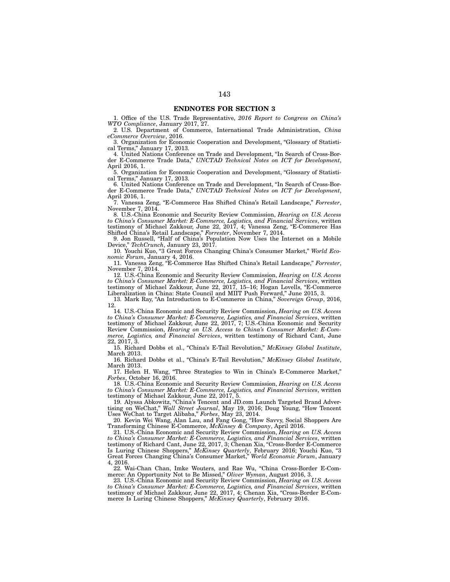## ENDNOTES FOR SECTION 3

1. Office of the U.S. Trade Representative, *2016 Report to Congress on China's WTO Compliance*, January 2017, 27.

2. U.S. Department of Commerce, International Trade Administration, *China eCommerce Overview*, 2016.

3. Organization for Economic Cooperation and Development, "Glossary of Statistical Terms," January 17, 2013.

4. United Nations Conference on Trade and Development, "In Search of Cross-Border E-Commerce Trade Data," *UNCTAD Technical Notes on ICT for Development*, April 2016, 1.

5. Organization for Economic Cooperation and Development, "Glossary of Statistical Terms," January 17, 2013.

6. United Nations Conference on Trade and Development, "In Search of Cross-Border E-Commerce Trade Data," *UNCTAD Technical Notes on ICT for Development*, April 2016, 1.

7. Vanessa Zeng, "E-Commerce Has Shifted China's Retail Landscape," *Forrester*, November 7, 2014.

8. U.S.-China Economic and Security Review Commission, *Hearing on U.S. Access to China's Consumer Market: E-Commerce, Logistics, and Financial Services*, written testimony of Michael Zakkour, June 22, 2017, 4; Vanessa Zeng, "E-Commerce Has Shifted China's Retail Landscape," *Forrester*, November 7, 2014.

9. Jon Russell, "Half of China's Population Now Uses the Internet on a Mobile Device," *TechCrunch*, January 23, 2017.

10. Youchi Kuo, "3 Great Forces Changing China's Consumer Market," *World Economic Forum*, January 4, 2016.

11. Vanessa Zeng, "E-Commerce Has Shifted China's Retail Landscape," *Forrester*, November 7, 2014.

12. U.S.-China Economic and Security Review Commission, *Hearing on U.S. Access to China's Consumer Market: E-Commerce, Logistics, and Financial Services*, written testimony of Michael Zakkour, June 22, 2017, 15–16; Hogan Lovells, "E-Commerce Liberalization in China: State Council and MIIT Push Forward," June 2015, 3.

13. Mark Ray, "An Introduction to E-Commerce in China," *Sovereign Group*, 2016, 12.

14. U.S.-China Economic and Security Review Commission, *Hearing on U.S. Access to China's Consumer Market: E-Commerce, Logistics, and Financial Services*, written testimony of Michael Zakkour, June 22, 2017, 7; U.S.-China Economic and Security Review Commission, *Hearing on U.S. Access to China's Consumer Market: E-Commerce, Logistics, and Financial Services*, written testimony of Richard Cant, June 22, 2017, 3.

15. Richard Dobbs et al., "China's E-Tail Revolution," *McKinsey Global Institute*, March 2013.

16. Richard Dobbs et al., "China's E-Tail Revolution," *McKinsey Global Institute*, March 2013.

17. Helen H. Wang, "Three Strategies to Win in China's E-Commerce Market," *Forbes*, October 16, 2016.

18. U.S.-China Economic and Security Review Commission, *Hearing on U.S. Access to China's Consumer Market: E-Commerce, Logistics, and Financial Services*, written testimony of Michael Zakkour, June 22, 2017, 5.

19. Alyssa Abkowitz, "China's Tencent and JD.com Launch Targeted Brand Advertising on WeChat," *Wall Street Journal*, May 19, 2016; Doug Young, "How Tencent Uses WeChat to Target Alibaba," *Forbes*, May 23, 2014.

20. Kevin Wei Wang, Alan Lau, and Fang Gong, "How Savvy, Social Shoppers Are Transforming Chinese E-Commerce, *McKinsey & Company*, April 2016.

21. U.S.-China Economic and Security Review Commission, *Hearing on U.S. Access to China's Consumer Market: E-Commerce, Logistics, and Financial Services*, written testimony of Richard Cant, June 22, 2017, 3; Chenan Xia, "Cross-Border E-Commerce Is Luring Chinese Shoppers," *McKinsey Quarterly*, February 2016; Youchi Kuo, "3 Great Forces Changing China's Consumer Market," *World Economic Forum*, January 4, 2016.

22. Wai-Chan Chan, Imke Wouters, and Rae Wu, "China Cross-Border E-Commerce: An Opportunity Not to Be Missed," *Oliver Wyman*, August 2016, 3.

23. U.S.-China Economic and Security Review Commission, *Hearing on U.S. Access to China's Consumer Market: E-Commerce, Logistics, and Financial Services*, written testimony of Michael Zakkour, June 22, 2017, 4; Chenan Xia, "Cross-Border E-Commerce Is Luring Chinese Shoppers," *McKinsey Quarterly*, February 2016.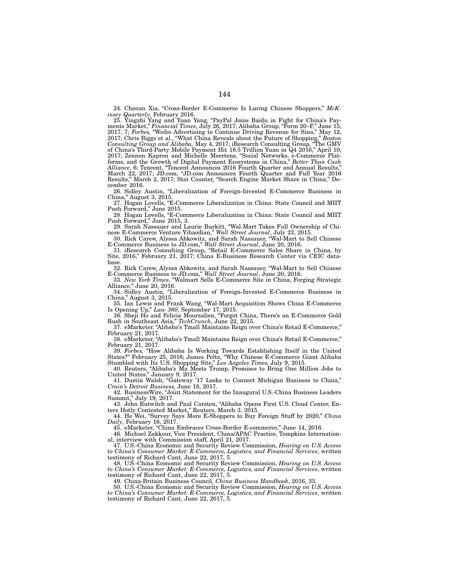24. Chenan Xia, "Cross-Border E-Commerce Is Luring Chinese Shoppers," *McKinsey Quarterly*, February 2016.

25. Yingzhi Yang and Yuan Yang, "PayPal Joins Baidu in Fight for China's Payments Market," *Financial Times*, July 26, 2017; Alibaba Group, "Form 20–F," June 15, 2017, 7; *Forbes,* "Weibo Advertising to Continue Driving Revenue for Sina," May 12, 2017; Chris Biggs et al., "What China Reveals about the Future of Shopping," *Boston Consulting Group and Alibaba,* May 4, 2017; iResearch Consulting Group, "The GMV of China's Third-Party Mobile Payment Hit 18.5 Trillion Yuan in Q4 2016," April 10, 2017; Zennon Kapron and Michelle Meertens, "Social Networks, e-Commerce Platforms, and the Growth of Digital Payment Ecosystems in China," *Better Than Cash Alliance*, 6; Tencent, "Tencent Announces 2016 Fourth Quarter and Annual Results," March 22, 2017; JD.com, "JD.com Announces Fourth Quarter and Full Year 2016 Results," March 2, 2017; Stat Counter, "Search Engine Market Share in China," December 2016.

26. Sidley Austin, "Liberalization of Foreign-Invested E-Commerce Business in China," August 3, 2015.

27. Hogan Lovells, "E-Commerce Liberalization in China: State Council and MIIT Push Forward," June 2015.

28. Hogan Lovells, "E-Commerce Liberalization in China: State Council and MIIT Push Forward," June 2015, 3.

29. Sarah Nassauer and Laurie Burkitt, "Wal-Mart Takes Full Ownership of Chinese E-Commerce Venture Yihaodian," *Wall Street Journal*, July 23, 2015.

30. Rick Carew, Alyssa Abkowitz, and Sarah Nassauer, "Wal-Mart to Sell Chinese E-Commerce Business to JD.com," *Wall Street Journal*, June 20, 2016.

31. iResearch Consulting Group, "Retail E-Commerce Sales Share in China, by Site, 2016," February 21, 2017; China E-Business Research Center via CEIC database.

32. Rick Carew, Alyssa Abkowitz, and Sarah Nassauer, "Wal-Mart to Sell Chinese E-Commerce Business to JD.com," *Wall Street Journal*, June 20, 2016.

33. *New York Times*, "Walmart Sells E-Commerce Site in China, Forging Strategic Alliance," June 20, 2016.

34. Sidley Austin, "Liberalization of Foreign-Invested E-Commerce Business in China," August 3, 2015.

35. Ian Lewis and Frank Wang, "Wal-Mart Acquisition Shows China E-Commerce Is Opening Up," *Law 360*, September 17, 2015.

36. Sheji Ho and Felicia Moursalien, "Forget China, There's an E-Commerce Gold Rush in Southeast Asia," *TechCrunch*, June 22, 2015.

37. eMarketer, "Alibaba's Tmall Maintains Reign over China's Retail E-Commerce," February 21, 2017.

38. eMarketer, "Alibaba's Tmall Maintains Reign over China's Retail E-Commerce," February 21, 2017.

39. *Forbes,* "How Alibaba Is Working Towards Establishing Itself in the United States?" February 25, 2016; James Peltz, "Why Chinese E-Commerce Giant Alibaba Stumbled with Its U.S. Shopping Site," *Los Angeles Times*, July 9, 2015.

40. Reuters, "Alibaba's Ma Meets Trump, Promises to Bring One Million Jobs to United States," January 9, 2017.

41. Dustin Walsh, "Gateway '17 Looks to Connect Michigan Business to China," *Crain's Detroit Business,* June 18, 2017.

42. BusinessWire, "Joint Statement for the Inaugural U.S.-China Business Leaders Summit," July 19, 2017.

43. John Rutwitch and Paul Carsten, "Alibaba Opens First U.S. Cloud Center, Enters Hotly Contested Market," Reuters, March 3, 2015.

44. He Wei, "Survey Says More E-Shoppers to Buy Foreign Stuff by 2020," *China Daily*, February 16, 2017.

45. eMarketer, "China Embraces Cross-Border E-commerce," June 14, 2016.

46. Michael Zakkour, Vice President, China/APAC Practice, Tompkins International, interview with Commission staff, April 21, 2017.

47. U.S.-China Economic and Security Review Commission, *Hearing on U.S. Access to China's Consumer Market: E-Commerce, Logistics, and Financial Services*, written testimony of Richard Cant, June 22, 2017, 5.

48. U.S.-China Economic and Security Review Commission, *Hearing on U.S. Access to China's Consumer Market: E-Commerce, Logistics, and Financial Services*, written testimony of Richard Cant, June 22, 2017, 5.

49. China-Britain Business Council, *China Business Handbook*, 2016, 33.

50. U.S.-China Economic and Security Review Commission, *Hearing on U.S. Access to China's Consumer Market: E-Commerce, Logistics, and Financial Services*, written testimony of Richard Cant, June 22, 2017, 5.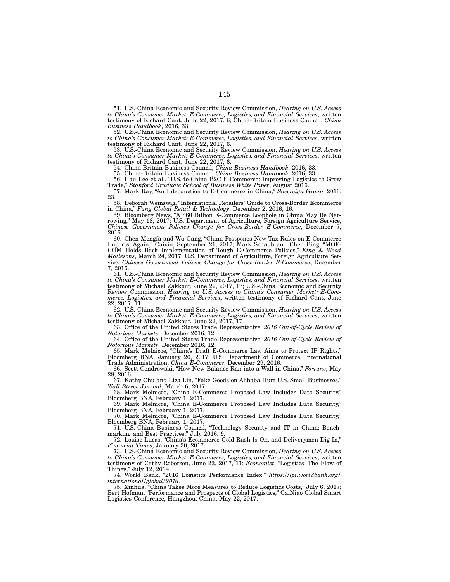51. U.S.-China Economic and Security Review Commission, *Hearing on U.S. Access to China's Consumer Market: E-Commerce, Logistics, and Financial Services*, written testimony of Richard Cant, June 22, 2017, 6; China-Britain Business Council, *China Business Handbook*, 2016, 33.

52. U.S.-China Economic and Security Review Commission, *Hearing on U.S. Access to China's Consumer Market: E-Commerce, Logistics, and Financial Services*, written testimony of Richard Cant, June 22, 2017, 6.

53. U.S.-China Economic and Security Review Commission, *Hearing on U.S. Access to China's Consumer Market: E-Commerce, Logistics, and Financial Services*, written testimony of Richard Cant, June 22, 2017, 6.

54. China-Britain Business Council, *China Business Handbook*, 2016, 33.

55. China-Britain Business Council, *China Business Handbook*, 2016, 33.

56. Hau Lee et al., "U.S.-to-China B2C E-Commerce: Improving Logistics to Grow Trade," *Stanford Graduate School of Business White Paper*, August 2016.

57. Mark Ray, "An Introduction to E-Commerce in China," *Sovereign Group*, 2016, 23.

58. Deborah Weinswig, "International Retailers' Guide to Cross-Border Ecommerce in China," *Fung Global Retail & Technology*, December 2, 2016, 16.

59. Bloomberg News, "A \$60 Billion E-Commerce Loophole in China May Be Narrowing," May 18, 2017; U.S. Department of Agriculture, Foreign Agriculture Service, *Chinese Government Policies Change for Cross-Border E-Commerce*, December 7, 2016.

60. Chen Mengfa and Wu Gang, "China Postpones New Tax Rules on E-Commerce Imports, Again," Caixin, September 21, 2017; Mark Schaub and Chen Bing, "MOF-COM Holds Back Implementation of Tough E-Commerce Policies," *King & Wood Mallesons*, March 24, 2017; U.S. Department of Agriculture, Foreign Agriculture Service, *Chinese Government Policies Change for Cross-Border E-Commerce*, December 7, 2016.

61. U.S.-China Economic and Security Review Commission, *Hearing on U.S. Access to China's Consumer Market: E-Commerce, Logistics, and Financial Services*, written testimony of Michael Zakkour, June 22, 2017, 17; U.S.-China Economic and Security Review Commission, *Hearing on U.S. Access to China's Consumer Market: E-Commerce, Logistics, and Financial Services*, written testimony of Richard Cant, June 22, 2017, 11.

62. U.S.-China Economic and Security Review Commission, *Hearing on U.S. Access to China's Consumer Market: E-Commerce, Logistics, and Financial Services*, written testimony of Michael Zakkour, June 22, 2017, 17.

63. Office of the United States Trade Representative, *2016 Out-of-Cycle Review of Notorious Markets*, December 2016, 12.

64. Office of the United States Trade Representative, *2016 Out-of-Cycle Review of Notorious Markets*, December 2016, 12.

65. Mark Melnicoe, "China's Draft E-Commerce Law Aims to Protect IP Rights," Bloomberg BNA, January 26, 2017; U.S. Department of Commerce, International Trade Administration, *China E-Commerce*, December 29, 2016.

66. Scott Cendrowski, "How New Balance Ran into a Wall in China," *Fortune*, May 28, 2016.

67. Kathy Chu and Liza Lin, "Fake Goods on Alibaba Hurt U.S. Small Businesses," *Wall Street Journal*, March 6, 2017.

68. Mark Melnicoe, "China E-Commerce Proposed Law Includes Data Security," Bloomberg BNA, February 1, 2017.

69. Mark Melnicoe, "China E-Commerce Proposed Law Includes Data Security," Bloomberg BNA, February 1, 2017.

70. Mark Melnicoe, "China E-Commerce Proposed Law Includes Data Security," Bloomberg BNA, February 1, 2017.

71. U.S.-China Business Council, "Technology Security and IT in China: Benchmarking and Best Practices," July 2016, 9.

72. Louise Lucas, "China's Ecommerce Gold Rush Is On, and Deliverymen Dig In," *Financial Times*, January 30, 2017.

73. U.S.-China Economic and Security Review Commission, *Hearing on U.S. Access to China's Consumer Market: E-Commerce, Logistics, and Financial Services*, written testimony of Cathy Roberson, June 22, 2017, 11; *Economist*, "Logistics: The Flow of Things," July 12, 2014.

74. World Bank, "2016 Logistics Performance Index." *https://lpi.worldbank.org/ international/global/2016*.

75. Xinhua, "China Takes More Measures to Reduce Logistics Costs," July 6, 2017; Bert Hofman, "Performance and Prospects of Global Logistics," CaiNiao Global Smart Logistics Conference, Hangzhou, China, May 22, 2017.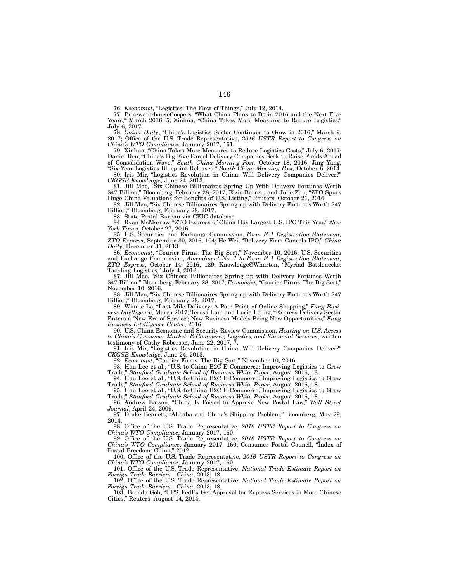76. *Economist*, "Logistics: The Flow of Things," July 12, 2014.

77. PricewaterhouseCoopers, "What China Plans to Do in 2016 and the Next Five Years," March 2016, 5; Xinhua, "China Takes More Measures to Reduce Logistics," July 6, 2017.

78. *China Daily*, "China's Logistics Sector Continues to Grow in 2016," March 9, 2017; Office of the U.S. Trade Representative, *2016 USTR Report to Congress on China's WTO Compliance*, January 2017, 161.

79. Xinhua, "China Takes More Measures to Reduce Logistics Costs," July 6, 2017; Daniel Ren, "China's Big Five Parcel Delivery Companies Seek to Raise Funds Ahead of Consolidation Wave," *South China Morning Post,* October 18, 2016; Jing Yang,

"Six-Year Logistics Blueprint Released," *South China Morning Post,* October 6, 2014*.* 80. Iris Mir, "Logistics Revolution in China: Will Delivery Companies Deliver?" *CKGSB Knowledge*, June 24, 2013.

81. Jill Mao, "Six Chinese Billionaires Spring Up With Delivery Fortunes Worth \$47 Billion," Bloomberg, February 28, 2017; Elzio Barreto and Julie Zhu, "ZTO Spurs Huge China Valuations for Benefits of U.S. Listing," Reuters, October 21, 2016.

82. Jill Mao, "Six Chinese Billionaires Spring up with Delivery Fortunes Worth \$47 Billion," Bloomberg, February 28, 2017.

83. State Postal Bureau via CEIC database.

84. Ryan McMorrow, "ZTO Express of China Has Largest U.S. IPO This Year," *New York Times*, October 27, 2016.

85. U.S. Securities and Exchange Commission, *Form F–1 Registration Statement, ZTO Express*, September 30, 2016, 104; He Wei, "Delivery Firm Cancels IPO," *China Daily*, December 31, 2013.

86. *Economist*, "Courier Firms: The Big Sort," November 10, 2016; U.S. Securities and Exchange Commission, *Amendment No. 1 to Form F–1 Registration Statement, ZTO Express*, October 14, 2016, 129; Knowledge@Wharton, "Myriad Bottlenecks: Tackling Logistics," July 4, 2012.

87. Jill Mao, "Six Chinese Billionaires Spring up with Delivery Fortunes Worth \$47 Billion," Bloomberg, February 28, 2017; *Economist*, "Courier Firms: The Big Sort," November 10, 2016.

88. Jill Mao, "Six Chinese Billionaires Spring up with Delivery Fortunes Worth \$47 Billion," Bloomberg, February 28, 2017.

89. Winnie Lo, "Last Mile Delivery: A Pain Point of Online Shopping," *Fung Business Intelligence*, March 2017; Teresa Lam and Lucia Leung, "Express Delivery Sector Enters a 'New Era of Service'; New Business Models Bring New Opportunities," *Fung Business Intelligence Center*, 2016.

90. U.S.-China Economic and Security Review Commission, *Hearing on U.S. Access to China's Consumer Market: E-Commerce, Logistics, and Financial Services*, written testimony of Cathy Roberson, June 22, 2017, 7.

91. Iris Mir, "Logistics Revolution in China: Will Delivery Companies Deliver?" *CKGSB Knowledge*, June 24, 2013.

92. *Economist*, "Courier Firms: The Big Sort," November 10, 2016.

93. Hau Lee et al., "U.S.-to-China B2C E-Commerce: Improving Logistics to Grow Trade," *Stanford Graduate School of Business White Paper*, August 2016, 18.

94. Hau Lee et al., "U.S.-to-China B2C E-Commerce: Improving Logistics to Grow<br>Trade." Stanford Graduate School of Business White Paper. August 2016, 18. *Stanford Graduate School of Business White Paper, August 2016, 18.* 

95. Hau Lee et al., "U.S.-to-China B2C E-Commerce: Improving Logistics to Grow Trade," *Stanford Graduate School of Business White Paper*, August 2016, 18.

96. Andrew Batson, "China Is Poised to Approve New Postal Law," *Wall Street Journal*, April 24, 2009.

97. Drake Bennett, "Alibaba and China's Shipping Problem," Bloomberg, May 29, 2014.

98. Office of the U.S. Trade Representative, *2016 USTR Report to Congress on China's WTO Compliance*, January 2017, 160.

99. Office of the U.S. Trade Representative, *2016 USTR Report to Congress on China's WTO Compliance*, January 2017, 160; Consumer Postal Council, "Index of Postal Freedom: China," 2012.

100. Office of the U.S. Trade Representative, *2016 USTR Report to Congress on China's WTO Compliance*, January 2017, 160.

101. Office of the U.S. Trade Representative, *National Trade Estimate Report on Foreign Trade Barriers—China*, 2013, 18.

102. Office of the U.S. Trade Representative, *National Trade Estimate Report on Foreign Trade Barriers—China*, 2013, 18.

103. Brenda Goh, "UPS, FedEx Get Approval for Express Services in More Chinese Cities," Reuters, August 14, 2014.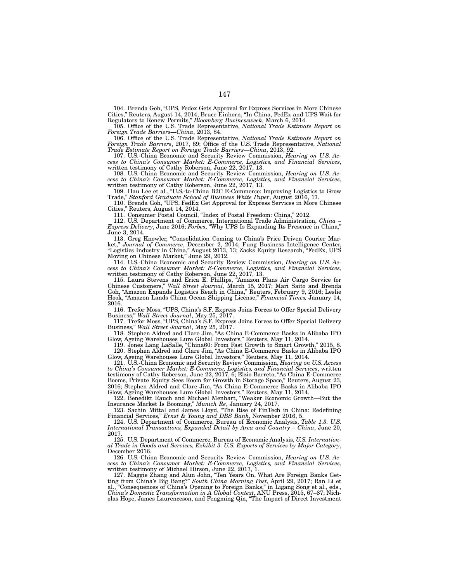104. Brenda Goh, "UPS, Fedex Gets Approval for Express Services in More Chinese Cities," Reuters, August 14, 2014; Bruce Einhorn, "In China, FedEx and UPS Wait for Regulators to Renew Permits," *Bloomberg Businessweek*, March 6, 2014.

105. Office of the U.S. Trade Representative, *National Trade Estimate Report on Foreign Trade Barriers—China*, 2013, 84.

106. Office of the U.S. Trade Representative, *National Trade Estimate Report on Foreign Trade Barriers*, 2017, 89; Office of the U.S. Trade Representative, *National Trade Estimate Report on Foreign Trade Barriers—China*, 2013, 92.

107. U.S.-China Economic and Security Review Commission, *Hearing on U.S. Access to China's Consumer Market: E-Commerce, Logistics, and Financial Services*, written testimony of Cathy Roberson, June 22, 2017, 13.

108. U.S.-China Economic and Security Review Commission, *Hearing on U.S. Access to China's Consumer Market: E-Commerce, Logistics, and Financial Services*, written testimony of Cathy Roberson, June 22, 2017, 13.

109. Hau Lee et al., "U.S.-to-China B2C E-Commerce: Improving Logistics to Grow Trade," *Stanford Graduate School of Business White Paper*, August 2016, 17.

110. Brenda Goh, "UPS, FedEx Get Approval for Express Services in More Chinese Cities," Reuters, August 14, 2014.

111. Consumer Postal Council, "Index of Postal Freedom: China," 2012.

112. U.S. Department of Commerce, International Trade Administration, *China – Express Delivery*, June 2016; *Forbes*, "Why UPS Is Expanding Its Presence in China," June 3, 2014.

113. Greg Knowler, "Consolidation Coming to China's Price Driven Courier Market," *Journal of Commerce*, December 2, 2014; Fung Business Intelligence Center, "Logistics Industry in China," August 2013, 13; Zacks Equity Research, "FedEx, UPS Moving on Chinese Market," June 29, 2012.

114. U.S.-China Economic and Security Review Commission, *Hearing on U.S. Access to China's Consumer Market: E-Commerce, Logistics, and Financial Services*, written testimony of Cathy Roberson, June 22, 2017, 13.

115. Laura Stevens and Erica E. Phillips, "Amazon Plans Air Cargo Service for Chinese Customers," *Wall Street Journal,* March 15, 2017; Mari Saito and Brenda Goh, "Amazon Expands Logistics Reach in China," Reuters, February 9, 2016; Leslie Hook, "Amazon Lands China Ocean Shipping License," *Financial Times,* January 14, 2016.

116. Trefor Moss, "UPS, China's S.F. Express Joins Forces to Offer Special Delivery Business," *Wall Street Journal*, May 25, 2017.

117. Trefor Moss, "UPS, China's S.F. Express Joins Forces to Offer Special Delivery Business," *Wall Street Journal*, May 25, 2017.

118. Stephen Aldred and Clare Jim, "As China E-Commerce Basks in Alibaba IPO Glow, Ageing Warehouses Lure Global Investors," Reuters, May 11, 2014.

119. Jones Lang LaSalle, "China60: From Fast Growth to Smart Growth," 2015, 8. 120. Stephen Aldred and Clare Jim, "As China E-Commerce Basks in Alibaba IPO Glow, Ageing Warehouses Lure Global Investors," Reuters, May 11, 2014.

121. U.S.-China Economic and Security Review Commission, *Hearing on U.S. Access to China's Consumer Market: E-Commerce, Logistics, and Financial Services*, written testimony of Cathy Roberson, June 22, 2017, 6; Elzio Barreto, "As China E-Commerce Booms, Private Equity Sees Room for Growth in Storage Space," Reuters, August 23, 2016; Stephen Aldred and Clare Jim, "As China E-Commerce Basks in Alibaba IPO Glow, Ageing Warehouses Lure Global Investors," Reuters, May 11, 2014.

122. Benedikt Rauch and Michael Menhart, "Weaker Economic Growth—But the Insurance Market Is Booming," *Munich Re*, January 24, 2017.

123. Sachin Mittal and James Lloyd, "The Rise of FinTech in China: Redefining Financial Services," *Ernst & Young and DBS Bank*, November 2016, 5.

124. U.S. Department of Commerce, Bureau of Economic Analysis, *Table 1.3. U.S. International Transactions, Expanded Detail by Area and Country – China*, June 20, 2017.

125. U.S. Department of Commerce, Bureau of Economic Analysis, *U.S. International Trade in Goods and Services, Exhibit 3. U.S. Exports of Services by Major Category*, December 2016.

126. U.S.-China Economic and Security Review Commission, *Hearing on U.S. Access to China's Consumer Market: E-Commerce, Logistics, and Financial Services*, written testimony of Michael Hirson, June 22, 2017, 1.

127. Maggie Zhang and Alun John, "Ten Years On, What Are Foreign Banks Getting from China's Big Bang?" *South China Morning Post*, April 29, 2017; Ran Li et al., "Consequences of China's Opening to Foreign Banks," in Ligang Song et al., eds., *China's Domestic Transformation in A Global Context*, ANU Press, 2015, 67–87; Nicholas Hope, James Laurenceson, and Fengming Qin, "The Impact of Direct Investment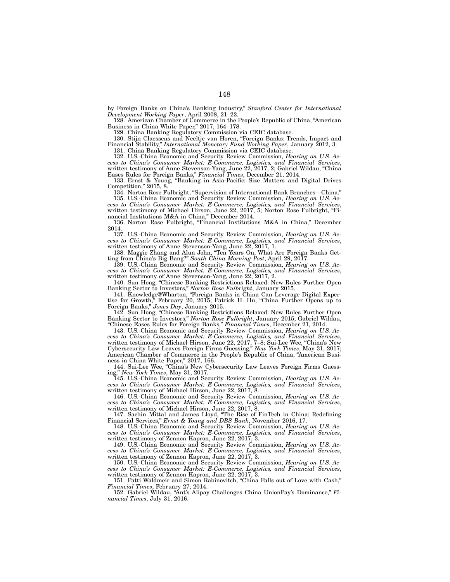by Foreign Banks on China's Banking Industry," *Stanford Center for International Development Working Paper*, April 2008, 21–22.

128. American Chamber of Commerce in the People's Republic of China, "American Business in China White Paper," 2017, 164–178.

129. China Banking Regulatory Commission via CEIC database.

130. Stijn Claessens and Neeltje van Horen, "Foreign Banks: Trends, Impact and Financial Stability," *International Monetary Fund Working Paper*, January 2012, 3. 131. China Banking Regulatory Commission via CEIC database.

132. U.S.-China Economic and Security Review Commission, *Hearing on U.S. Access to China's Consumer Market: E-Commerce, Logistics, and Financial Services*, written testimony of Anne Stevenson-Yang, June 22, 2017, 2; Gabriel Wildau, "China Eases Rules for Foreign Banks," *Financial Times*, December 21, 2014.

133. Ernst & Young, "Banking in Asia-Pacific: Size Matters and Digital Drives Competition," 2015, 8.

134. Norton Rose Fulbright, "Supervision of International Bank Branches—China." 135. U.S.-China Economic and Security Review Commission, *Hearing on U.S. Ac-*

*cess to China's Consumer Market: E-Commerce, Logistics, and Financial Services*, written testimony of Michael Hirson, June 22, 2017, 5; Norton Rose Fulbright, "Financial Institutions M&A in China," December 2014.

136. Norton Rose Fulbright, "Financial Institutions M&A in China," December 2014.

137. U.S.-China Economic and Security Review Commission, *Hearing on U.S. Access to China's Consumer Market: E-Commerce, Logistics, and Financial Services*, written testimony of Anne Stevenson-Yang, June 22, 2017, 1.

138. Maggie Zhang and Alun John, "Ten Years On, What Are Foreign Banks Getting from China's Big Bang?" *South China Morning Post*, April 29, 2017.

139. U.S.-China Economic and Security Review Commission, *Hearing on U.S. Access to China's Consumer Market: E-Commerce, Logistics, and Financial Services*, written testimony of Anne Stevenson-Yang, June 22, 2017, 2.

140. Sun Hong, "Chinese Banking Restrictions Relaxed: New Rules Further Open Banking Sector to Investors," *Norton Rose Fulbright*, January 2015.

141. Knowledge@Wharton, "Foreign Banks in China Can Leverage Digital Expertise for Growth," February 20, 2015; Patrick H. Hu, "China Further Opens up to Foreign Banks," *Jones Day*, January 2015.

142. Sun Hong, "Chinese Banking Restrictions Relaxed: New Rules Further Open Banking Sector to Investors," *Norton Rose Fulbright*, January 2015; Gabriel Wildau, "Chinese Eases Rules for Foreign Banks," *Financial Times*, December 21, 2014.

143. U.S.-China Economic and Security Review Commission, *Hearing on U.S. Access to China's Consumer Market: E-Commerce, Logistics, and Financial Services*, written testimony of Michael Hirson, June 22, 2017, 7–8; Sui-Lee Wee, "China's New Cybersecurity Law Leaves Foreign Firms Guessing," *New York Times*, May 31, 2017; American Chamber of Commerce in the People's Republic of China, "American Business in China White Paper," 2017, 166.

144. Sui-Lee Wee, "China's New Cybersecurity Law Leaves Foreign Firms Guessing," *New York Times*, May 31, 2017.

145. U.S.-China Economic and Security Review Commission, *Hearing on U.S. Access to China's Consumer Market: E-Commerce, Logistics, and Financial Services*, written testimony of Michael Hirson, June 22, 2017, 8.

146. U.S.-China Economic and Security Review Commission, *Hearing on U.S. Access to China's Consumer Market: E-Commerce, Logistics, and Financial Services*, written testimony of Michael Hirson, June 22, 2017, 8.

147. Sachin Mittal and James Lloyd, "The Rise of FinTech in China: Redefining Financial Services," *Ernst & Young and DBS Bank*, November 2016, 17.

148. U.S.-China Economic and Security Review Commission, *Hearing on U.S. Access to China's Consumer Market: E-Commerce, Logistics, and Financial Services*, written testimony of Zennon Kapron, June 22, 2017, 3.

149. U.S.-China Economic and Security Review Commission, *Hearing on U.S. Access to China's Consumer Market: E-Commerce, Logistics, and Financial Services*, written testimony of Zennon Kapron, June 22, 2017, 3.

150. U.S.-China Economic and Security Review Commission, *Hearing on U.S. Access to China's Consumer Market: E-Commerce, Logistics, and Financial Services*, written testimony of Zennon Kapron, June 22, 2017, 3.

151. Patti Waldmeir and Simon Rabinovitch, "China Falls out of Love with Cash," *Financial Times*, February 27, 2014.

152. Gabriel Wildau, "Ant's Alipay Challenges China UnionPay's Dominance," *Financial Times*, July 31, 2016.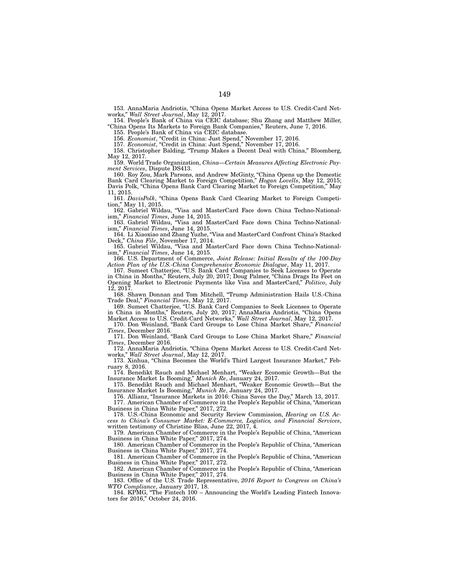153. AnnaMaria Andriotis, "China Opens Market Access to U.S. Credit-Card Networks," *Wall Street Journal*, May 12, 2017.

154. People's Bank of China via CEIC database; Shu Zhang and Matthew Miller, "China Opens Its Markets to Foreign Bank Companies," Reuters, June 7, 2016.

155. People's Bank of China via CEIC database.

156. *Economist*, "Credit in China: Just Spend," November 17, 2016.

157. *Economist*, "Credit in China: Just Spend," November 17, 2016.

158. Christopher Balding, "Trump Makes a Decent Deal with China," Bloomberg, May 12, 2017.

159. World Trade Organization, *China—Certain Measures Affecting Electronic Payment Services*, Dispute DS413.

160. Roy Zou, Mark Parsons, and Andrew McGinty, "China Opens up the Domestic Bank Card Clearing Market to Foreign Competition," *Hogan Lovells*, May 12, 2015; Davis Polk, "China Opens Bank Card Clearing Market to Foreign Competition," May 11, 2015.

161. *DavisPolk*, "China Opens Bank Card Clearing Market to Foreign Competition," May 11, 2015.

162. Gabriel Wildau, "Visa and MasterCard Face down China Techno-Nationalism," *Financial Times*, June 14, 2015.

163. Gabriel Wildau, "Visa and MasterCard Face down China Techno-Nationalism," *Financial Times*, June 14, 2015.

164. Li Xiaoxiao and Zhang Yuzhe, "Visa and MasterCard Confront China's Stacked Deck," *China File*, November 17, 2014.

165. Gabriel Wildau, "Visa and MasterCard Face down China Techno-Nationalism," *Financial Times*, June 14, 2015.

166. U.S. Department of Commerce, *Joint Release: Initial Results of the 100-Day Action Plan of the U.S.-China Comprehensive Economic Dialogue*, May 11, 2017.

167. Sumeet Chatterjee, "U.S. Bank Card Companies to Seek Licenses to Operate in China in Months," Reuters, July 20, 2017; Doug Palmer, "China Drags Its Feet on Opening Market to Electronic Payments like Visa and MasterCard," *Politico*, July 12, 2017.

168. Shawn Donnan and Tom Mitchell, "Trump Administration Hails U.S.-China Trade Deal," *Financial Times*, May 12, 2017.

169. Sumeet Chatterjee, "U.S. Bank Card Companies to Seek Licenses to Operate in China in Months," Reuters, July 20, 2017; AnnaMaria Andriotis, "China Opens Market Access to U.S. Credit-Card Networks," *Wall Street Journal*, May 12, 2017.

170. Don Weinland, "Bank Card Groups to Lose China Market Share," *Financial Times*, December 2016.

171. Don Weinland, "Bank Card Groups to Lose China Market Share," *Financial Times*, December 2016.

172. AnnaMaria Andriotis, "China Opens Market Access to U.S. Credit-Card Networks," *Wall Street Journal*, May 12, 2017.

173. Xinhua, "China Becomes the World's Third Largest Insurance Market," February 8, 2016.

174. Benedikt Rauch and Michael Menhart, "Weaker Economic Growth—But the Insurance Market Is Booming," *Munich Re*, January 24, 2017.

175. Benedikt Rauch and Michael Menhart, "Weaker Economic Growth—But the Insurance Market Is Booming," *Munich Re*, January 24, 2017.

176. Allianz, "Insurance Markets in 2016: China Saves the Day," March 13, 2017. 177. American Chamber of Commerce in the People's Republic of China, "American

Business in China White Paper," 2017, 272.

178. U.S.-China Economic and Security Review Commission, *Hearing on U.S. Access to China's Consumer Market: E-Commerce, Logistics, and Financial Services*, written testimony of Christine Bliss, June 22, 2017, 4.

179. American Chamber of Commerce in the People's Republic of China, "American Business in China White Paper," 2017, 274.

180. American Chamber of Commerce in the People's Republic of China, "American Business in China White Paper," 2017, 274.

181. American Chamber of Commerce in the People's Republic of China, "American Business in China White Paper," 2017, 272.

182. American Chamber of Commerce in the People's Republic of China, "American Business in China White Paper," 2017, 274.

183. Office of the U.S. Trade Representative, *2016 Report to Congress on China's WTO Compliance*, January 2017, 18.

184. KPMG, "The Fintech 100 – Announcing the World's Leading Fintech Innovators for 2016," October 24, 2016.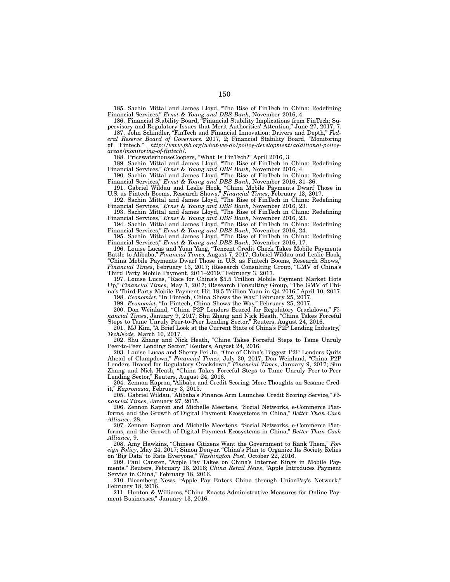185. Sachin Mittal and James Lloyd, "The Rise of FinTech in China: Redefining Financial Services," *Ernst & Young and DBS Bank*, November 2016, 4.

186. Financial Stability Board, "Financial Stability Implications from FinTech: Supervisory and Regulatory Issues that Merit Authorities' Attention," June 27, 2017, 7.

187. John Schindler, "FinTech and Financial Innovation: Drivers and Depth," *Federal Reserve Board of Governors,* 2017, 2; Financial Stability Board, "Monitoring of Fintech." *http://www.fsb.org/what-we-do/policy-development/additional-policyareas/monitoring-of-fintech/.*

188. PricewaterhouseCoopers, "What Is FinTech?" April 2016, 3.

189. Sachin Mittal and James Lloyd, "The Rise of FinTech in China: Redefining Financial Services," *Ernst & Young and DBS Bank*, November 2016, 4.

190. Sachin Mittal and James Lloyd, "The Rise of FinTech in China: Redefining Financial Services," *Ernst & Young and DBS Bank*, November 2016, 31–36.

191. Gabriel Wildau and Leslie Hook, "China Mobile Payments Dwarf Those in U.S. as Fintech Booms, Research Shows," *Financial Times*, February 13, 2017.

192. Sachin Mittal and James Lloyd, "The Rise of FinTech in China: Redefining Financial Services," *Ernst & Young and DBS Bank*, November 2016, 23.

193. Sachin Mittal and James Lloyd, "The Rise of FinTech in China: Redefining Financial Services," *Ernst & Young and DBS Bank*, November 2016, 23.

194. Sachin Mittal and James Lloyd, "The Rise of FinTech in China: Redefining Financial Services," *Ernst & Young and DBS Bank*, November 2016, 24.

195. Sachin Mittal and James Lloyd, "The Rise of FinTech in China: Redefining Financial Services," *Ernst & Young and DBS Bank*, November 2016, 17.

196. Louise Lucas and Yuan Yang, "Tencent Credit Check Takes Mobile Payments Battle to Alibaba," *Financial Times,* August 7, 2017; Gabriel Wildau and Leslie Hook, "China Mobile Payments Dwarf Those in U.S. as Fintech Booms, Research Shows," *Financial Times*, February 13, 2017; iResearch Consulting Group, "GMV of China's Third Party Mobile Payment, 2011–2019," February 3, 2017.

197. Louise Lucas, "Race for China's \$5.5 Trillion Mobile Payment Market Hots Up," *Financial Times*, May 1, 2017; iResearch Consulting Group, "The GMV of China's Third-Party Mobile Payment Hit 18.5 Trillion Yuan in Q4 2016," April 10, 2017. 198. *Economist*, "In Fintech, China Shows the Way," February 25, 2017.

199. *Economist*, "In Fintech, China Shows the Way," February 25, 2017.

200. Don Weinland, "China P2P Lenders Braced for Regulatory Crackdown," *Financial Times*, January 9, 2017; Shu Zhang and Nick Heath, "China Takes Forceful Steps to Tame Unruly Peer-to-Peer Lending Sector," Reuters, August 24, 2016.

201. MJ Kim, "A Brief Look at the Current State of China's P2P Lending Industry," *TechNode,* March 10, 2017.

202. Shu Zhang and Nick Heath, "China Takes Forceful Steps to Tame Unruly Peer-to-Peer Lending Sector," Reuters, August 24, 2016.

203. Louise Lucas and Sherry Fei Ju, "One of China's Biggest P2P Lenders Quits Ahead of Clampdown," *Financial Times*, July 30, 2017; Don Weinland, "China P2P Lenders Braced for Regulatory Crackdown," *Financial Times*, January 9, 2017; Shu Zhang and Nick Heath, "China Takes Forceful Steps to Tame Unruly Peer-to-Peer Lending Sector," Reuters, August 24, 2016.

204. Zennon Kapron, "Alibaba and Credit Scoring: More Thoughts on Sesame Credit," *Kapronasia*, February 3, 2015.

205. Gabriel Wildau, "Alibaba's Finance Arm Launches Credit Scoring Service," *Financial Times*, January 27, 2015.

206. Zennon Kapron and Michelle Meertens, "Social Networks, e-Commerce Platforms, and the Growth of Digital Payment Ecosystems in China," *Better Than Cash Alliance*, 28.

207. Zennon Kapron and Michelle Meertens, "Social Networks, e-Commerce Platforms, and the Growth of Digital Payment Ecosystems in China," *Better Than Cash Alliance*, 9.

208. Amy Hawkins, "Chinese Citizens Want the Government to Rank Them," *Foreign Policy*, May 24, 2017; Simon Denyer, "China's Plan to Organize Its Society Relies on 'Big Data' to Rate Everyone," *Washington Post*, October 22, 2016.

209. Paul Carsten, "Apple Pay Takes on China's Internet Kings in Mobile Payments," Reuters, February 18, 2016; *China Retail News*, "Apple Introduces Payment Service in China," February 18, 2016.

210. Bloomberg News, "Apple Pay Enters China through UnionPay's Network," February 18, 2016.

211. Hunton & Williams, "China Enacts Administrative Measures for Online Payment Businesses," January 13, 2016.